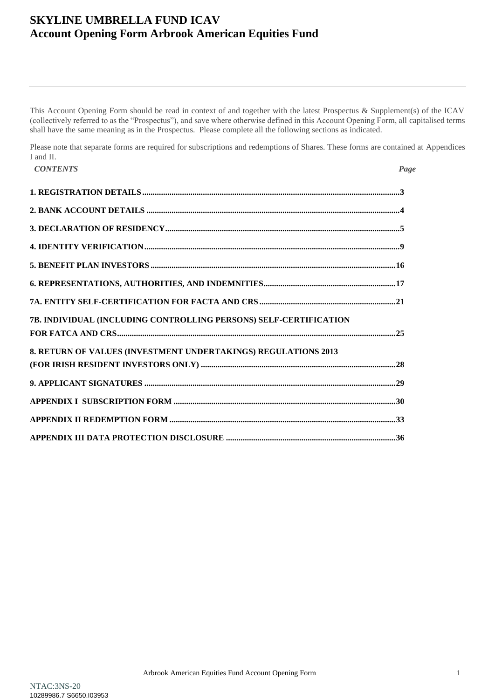This Account Opening Form should be read in context of and together with the latest Prospectus & Supplement(s) of the ICAV (collectively referred to as the "Prospectus"), and save where otherwise defined in this Account Opening Form, all capitalised terms shall have the same meaning as in the Prospectus. Please complete all the following sections as indicated.

Please note that separate forms are required for subscriptions and redemptions of Shares. These forms are contained at Appendices I and II.

| <b>CONTENTS</b>                                                   | Page |
|-------------------------------------------------------------------|------|
|                                                                   |      |
|                                                                   |      |
|                                                                   |      |
|                                                                   |      |
|                                                                   |      |
|                                                                   |      |
|                                                                   |      |
| 7B. INDIVIDUAL (INCLUDING CONTROLLING PERSONS) SELF-CERTIFICATION |      |
| 8. RETURN OF VALUES (INVESTMENT UNDERTAKINGS) REGULATIONS 2013    |      |
|                                                                   |      |
|                                                                   |      |
|                                                                   |      |
|                                                                   |      |
|                                                                   |      |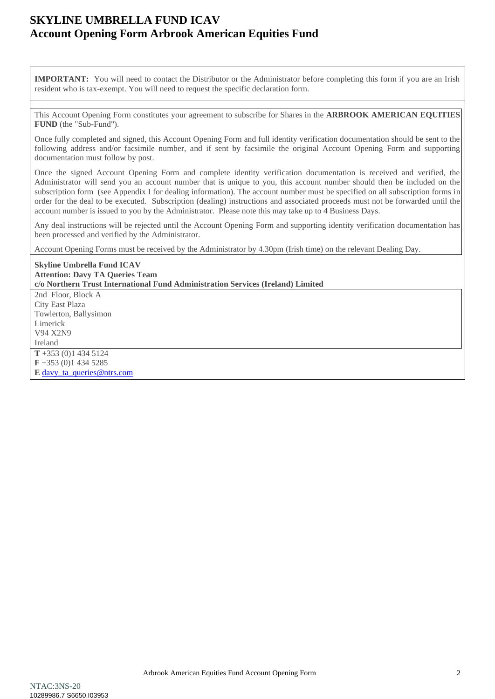**IMPORTANT:** You will need to contact the Distributor or the Administrator before completing this form if you are an Irish resident who is tax-exempt. You will need to request the specific declaration form.

This Account Opening Form constitutes your agreement to subscribe for Shares in the **ARBROOK AMERICAN EQUITIES FUND** (the "Sub-Fund").

Once fully completed and signed, this Account Opening Form and full identity verification documentation should be sent to the following address and/or facsimile number, and if sent by facsimile the original Account Opening Form and supporting documentation must follow by post.

Once the signed Account Opening Form and complete identity verification documentation is received and verified, the Administrator will send you an account number that is unique to you, this account number should then be included on the subscription form (see Appendix I for dealing information). The account number must be specified on all subscription forms in order for the deal to be executed. Subscription (dealing) instructions and associated proceeds must not be forwarded until the account number is issued to you by the Administrator. Please note this may take up to 4 Business Days.

Any deal instructions will be rejected until the Account Opening Form and supporting identity verification documentation has been processed and verified by the Administrator.

Account Opening Forms must be received by the Administrator by 4.30pm (Irish time) on the relevant Dealing Day.

| <b>Skyline Umbrella Fund ICAV</b>                                               |
|---------------------------------------------------------------------------------|
| <b>Attention: Davy TA Queries Team</b>                                          |
| c/o Northern Trust International Fund Administration Services (Ireland) Limited |
| 2nd Floor, Block A                                                              |
| City East Plaza                                                                 |
| Towlerton, Ballysimon                                                           |
| Limerick                                                                        |
| V94 X2N9                                                                        |
| Ireland                                                                         |
| $T + 353(0)14345124$                                                            |
| $\mathbf{F}$ +353 (0)1 434 5285                                                 |
| E davy ta queries@ntrs.com                                                      |
|                                                                                 |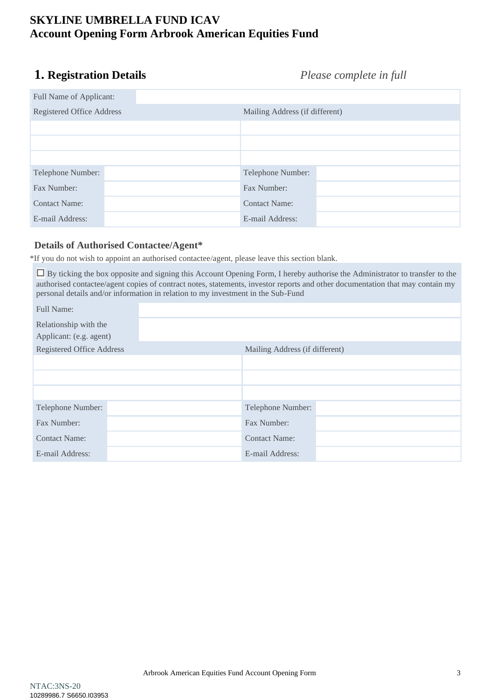# <span id="page-2-0"></span>**1. Registration Details** *Please complete in full*

| Full Name of Applicant:   |                                |
|---------------------------|--------------------------------|
| Registered Office Address | Mailing Address (if different) |
|                           |                                |
|                           |                                |
|                           |                                |
| Telephone Number:         | Telephone Number:              |
| Fax Number:               | Fax Number:                    |
| <b>Contact Name:</b>      | <b>Contact Name:</b>           |
| E-mail Address:           | E-mail Address:                |

### **Details of Authorised Contactee/Agent\***

\*If you do not wish to appoint an authorised contactee/agent, please leave this section blank.

 By ticking the box opposite and signing this Account Opening Form, I hereby authorise the Administrator to transfer to the authorised contactee/agent copies of contract notes, statements, investor reports and other documentation that may contain my personal details and/or information in relation to my investment in the Sub-Fund

| <b>Full Name:</b>                |                                |  |
|----------------------------------|--------------------------------|--|
| Relationship with the            |                                |  |
| Applicant: (e.g. agent)          |                                |  |
| <b>Registered Office Address</b> | Mailing Address (if different) |  |
|                                  |                                |  |
|                                  |                                |  |
|                                  |                                |  |
| Telephone Number:                | Telephone Number:              |  |
| Fax Number:                      | Fax Number:                    |  |
| <b>Contact Name:</b>             | <b>Contact Name:</b>           |  |
| E-mail Address:                  | E-mail Address:                |  |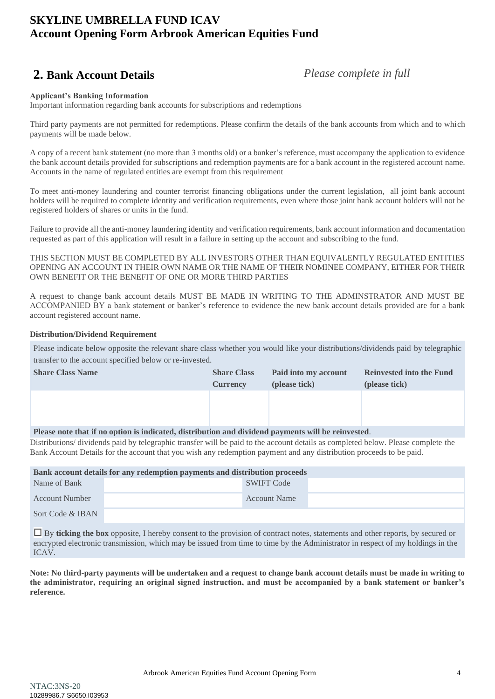# <span id="page-3-0"></span>**2. Bank Account Details** *Please complete in full*

#### **Applicant's Banking Information**

Important information regarding bank accounts for subscriptions and redemptions

Third party payments are not permitted for redemptions. Please confirm the details of the bank accounts from which and to which payments will be made below.

A copy of a recent bank statement (no more than 3 months old) or a banker's reference, must accompany the application to evidence the bank account details provided for subscriptions and redemption payments are for a bank account in the registered account name. Accounts in the name of regulated entities are exempt from this requirement

To meet anti-money laundering and counter terrorist financing obligations under the current legislation, all joint bank account holders will be required to complete identity and verification requirements, even where those joint bank account holders will not be registered holders of shares or units in the fund.

Failure to provide all the anti-money laundering identity and verification requirements, bank account information and documentation requested as part of this application will result in a failure in setting up the account and subscribing to the fund.

THIS SECTION MUST BE COMPLETED BY ALL INVESTORS OTHER THAN EQUIVALENTLY REGULATED ENTITIES OPENING AN ACCOUNT IN THEIR OWN NAME OR THE NAME OF THEIR NOMINEE COMPANY, EITHER FOR THEIR OWN BENEFIT OR THE BENEFIT OF ONE OR MORE THIRD PARTIES

A request to change bank account details MUST BE MADE IN WRITING TO THE ADMINSTRATOR AND MUST BE ACCOMPANIED BY a bank statement or banker's reference to evidence the new bank account details provided are for a bank account registered account name.

#### **Distribution/Dividend Requirement**

Please indicate below opposite the relevant share class whether you would like your distributions/dividends paid by telegraphic transfer to the account specified below or re-invested.

| <b>Share Class Name</b>                                                                            | <b>Share Class</b> | Paid into my account | <b>Reinvested into the Fund</b> |
|----------------------------------------------------------------------------------------------------|--------------------|----------------------|---------------------------------|
|                                                                                                    | <b>Currency</b>    | (please tick)        | (please tick)                   |
|                                                                                                    |                    |                      |                                 |
|                                                                                                    |                    |                      |                                 |
|                                                                                                    |                    |                      |                                 |
| Please note that if no option is indicated, distribution and dividend payments will be reinvested. |                    |                      |                                 |

Distributions/ dividends paid by telegraphic transfer will be paid to the account details as completed below. Please complete the Bank Account Details for the account that you wish any redemption payment and any distribution proceeds to be paid.

| Bank account details for any redemption payments and distribution proceeds |  |                     |  |  |  |
|----------------------------------------------------------------------------|--|---------------------|--|--|--|
| Name of Bank                                                               |  | SWIFT Code          |  |  |  |
| Account Number                                                             |  | <b>Account Name</b> |  |  |  |
| Sort Code & IBAN                                                           |  |                     |  |  |  |

 By **ticking the box** opposite, I hereby consent to the provision of contract notes, statements and other reports, by secured or encrypted electronic transmission, which may be issued from time to time by the Administrator in respect of my holdings in the ICAV.

**Note: No third-party payments will be undertaken and a request to change bank account details must be made in writing to the administrator, requiring an original signed instruction, and must be accompanied by a bank statement or banker's reference.**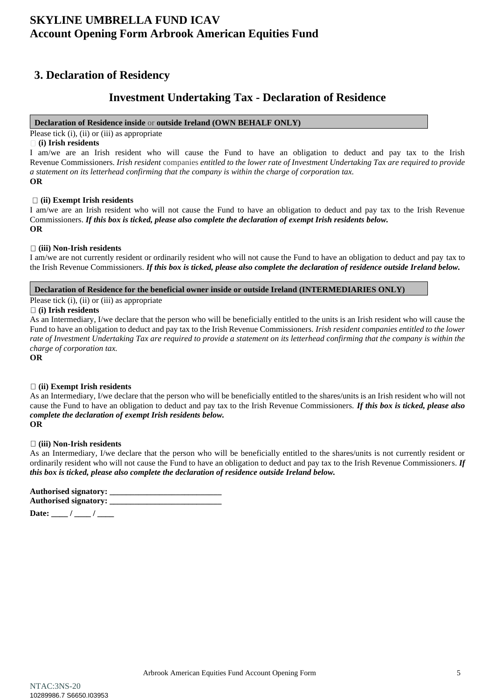### <span id="page-4-0"></span>**3. Declaration of Residency**

### **Investment Undertaking Tax - Declaration of Residence**

#### **Declaration of Residence inside** or **outside Ireland (OWN BEHALF ONLY)**

Please tick (i), (ii) or (iii) as appropriate

#### **(i) Irish residents**

I am/we are an Irish resident who will cause the Fund to have an obligation to deduct and pay tax to the Irish Revenue Commissioners. *Irish resident* companies *entitled to the lower rate of Investment Undertaking Tax are required to provide a statement on its letterhead confirming that the company is within the charge of corporation tax.* **OR**

#### **(ii) Exempt Irish residents**

I am/we are an Irish resident who will not cause the Fund to have an obligation to deduct and pay tax to the Irish Revenue Commissioners. *If this box is ticked, please also complete the declaration of exempt Irish residents below.* **OR**

#### **(iii) Non-Irish residents**

I am/we are not currently resident or ordinarily resident who will not cause the Fund to have an obligation to deduct and pay tax to the Irish Revenue Commissioners. *If this box is ticked, please also complete the declaration of residence outside Ireland below.*

**Declaration of Residence for the beneficial owner inside or outside Ireland (INTERMEDIARIES ONLY)**

#### Please tick (i), (ii) or (iii) as appropriate

#### **(i) Irish residents**

As an Intermediary, I/we declare that the person who will be beneficially entitled to the units is an Irish resident who will cause the Fund to have an obligation to deduct and pay tax to the Irish Revenue Commissioners. *Irish resident companies entitled to the lower*  rate of Investment Undertaking Tax are required to provide a statement on its letterhead confirming that the company is within the *charge of corporation tax.*

**OR**

### **(ii) Exempt Irish residents**

As an Intermediary, I/we declare that the person who will be beneficially entitled to the shares/units is an Irish resident who will not cause the Fund to have an obligation to deduct and pay tax to the Irish Revenue Commissioners. *If this box is ticked, please also complete the declaration of exempt Irish residents below.* **OR**

### **(iii) Non-Irish residents**

As an Intermediary, I/we declare that the person who will be beneficially entitled to the shares/units is not currently resident or ordinarily resident who will not cause the Fund to have an obligation to deduct and pay tax to the Irish Revenue Commissioners. *If this box is ticked, please also complete the declaration of residence outside Ireland below.*

**Authorised signatory: \_\_\_\_\_\_\_\_\_\_\_\_\_\_\_\_\_\_\_\_\_\_\_\_\_\_\_ Authorised signatory: \_\_\_\_\_\_\_\_\_\_\_\_\_\_\_\_\_\_\_\_\_\_\_\_\_\_\_**

Date:  $\frac{1}{2}$  / \_\_\_\_\_ / \_\_\_\_\_\_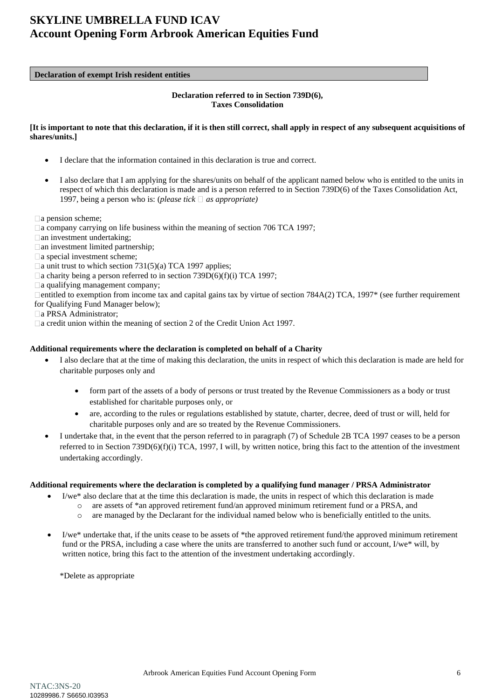#### **Declaration of exempt Irish resident entities**

#### **Declaration referred to in Section 739D(6), Taxes Consolidation**

#### **[It is important to note that this declaration, if it is then still correct, shall apply in respect of any subsequent acquisitions of shares/units.]**

- I declare that the information contained in this declaration is true and correct.
- I also declare that I am applying for the shares/units on behalf of the applicant named below who is entitled to the units in respect of which this declaration is made and is a person referred to in Section 739D(6) of the Taxes Consolidation Act, 1997, being a person who is: *(please tick*  $\Box$  *as appropriate)*

 $\Box$ a pension scheme;

- $\Box$  a company carrying on life business within the meaning of section 706 TCA 1997;
- $\Box$ an investment undertaking;
- $\Box$  an investment limited partnership;
- $\Box$ a special investment scheme;
- $\Box$  a unit trust to which section 731(5)(a) TCA 1997 applies;
- $\Box$ a charity being a person referred to in section 739D(6)(f)(i) TCA 1997;
- $\Box$ a qualifying management company;

 $\Box$ entitled to exemption from income tax and capital gains tax by virtue of section 784A(2) TCA, 1997 $*$  (see further requirement for Qualifying Fund Manager below);

- □a PRSA Administrator;
- □ a credit union within the meaning of section 2 of the Credit Union Act 1997.

#### **Additional requirements where the declaration is completed on behalf of a Charity**

- I also declare that at the time of making this declaration, the units in respect of which this declaration is made are held for charitable purposes only and
	- form part of the assets of a body of persons or trust treated by the Revenue Commissioners as a body or trust established for charitable purposes only, or
	- are, according to the rules or regulations established by statute, charter, decree, deed of trust or will, held for charitable purposes only and are so treated by the Revenue Commissioners.
- I undertake that, in the event that the person referred to in paragraph (7) of Schedule 2B TCA 1997 ceases to be a person referred to in Section 739D(6)(f)(i) TCA, 1997, I will, by written notice, bring this fact to the attention of the investment undertaking accordingly.

#### **Additional requirements where the declaration is completed by a qualifying fund manager / PRSA Administrator**

- I/we<sup>\*</sup> also declare that at the time this declaration is made, the units in respect of which this declaration is made
	- o are assets of \*an approved retirement fund/an approved minimum retirement fund or a PRSA, and
		- o are managed by the Declarant for the individual named below who is beneficially entitled to the units.
- I/we\* undertake that, if the units cease to be assets of \*the approved retirement fund/the approved minimum retirement fund or the PRSA, including a case where the units are transferred to another such fund or account, I/we\* will, by written notice, bring this fact to the attention of the investment undertaking accordingly.

\*Delete as appropriate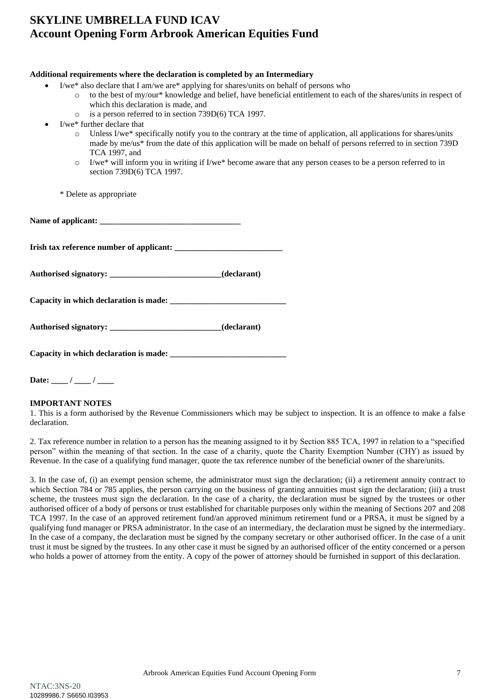| Additional requirements where the declaration is completed by an Intermediary                                                                                                                                                                                                                                                                                                                                                                                                                                                                                                                                                                                                                                                                                                    |
|----------------------------------------------------------------------------------------------------------------------------------------------------------------------------------------------------------------------------------------------------------------------------------------------------------------------------------------------------------------------------------------------------------------------------------------------------------------------------------------------------------------------------------------------------------------------------------------------------------------------------------------------------------------------------------------------------------------------------------------------------------------------------------|
| I/we* also declare that I am/we are* applying for shares/units on behalf of persons who<br>to the best of my/our* knowledge and belief, have beneficial entitlement to each of the shares/units in respect of<br>which this declaration is made, and<br>is a person referred to in section 739D(6) TCA 1997.<br>$\circ$<br>I/we* further declare that<br>Unless I/we* specifically notify you to the contrary at the time of application, all applications for shares/units<br>$\circ$<br>made by me/us* from the date of this application will be made on behalf of persons referred to in section 739D<br>TCA 1997, and<br>I/we* will inform you in writing if I/we* become aware that any person ceases to be a person referred to in<br>$\circ$<br>section 739D(6) TCA 1997. |
| * Delete as appropriate                                                                                                                                                                                                                                                                                                                                                                                                                                                                                                                                                                                                                                                                                                                                                          |
|                                                                                                                                                                                                                                                                                                                                                                                                                                                                                                                                                                                                                                                                                                                                                                                  |
|                                                                                                                                                                                                                                                                                                                                                                                                                                                                                                                                                                                                                                                                                                                                                                                  |
| Authorised signatory: __________________________________(declarant)                                                                                                                                                                                                                                                                                                                                                                                                                                                                                                                                                                                                                                                                                                              |
|                                                                                                                                                                                                                                                                                                                                                                                                                                                                                                                                                                                                                                                                                                                                                                                  |
|                                                                                                                                                                                                                                                                                                                                                                                                                                                                                                                                                                                                                                                                                                                                                                                  |
|                                                                                                                                                                                                                                                                                                                                                                                                                                                                                                                                                                                                                                                                                                                                                                                  |
|                                                                                                                                                                                                                                                                                                                                                                                                                                                                                                                                                                                                                                                                                                                                                                                  |

### **IMPORTANT NOTES**

1. This is a form authorised by the Revenue Commissioners which may be subject to inspection. It is an offence to make a false declaration.

2. Tax reference number in relation to a person has the meaning assigned to it by Section 885 TCA, 1997 in relation to a "specified person" within the meaning of that section. In the case of a charity, quote the Charity Exemption Number (CHY) as issued by Revenue. In the case of a qualifying fund manager, quote the tax reference number of the beneficial owner of the share/units.

3. In the case of, (i) an exempt pension scheme, the administrator must sign the declaration; (ii) a retirement annuity contract to which Section 784 or 785 applies, the person carrying on the business of granting annuities must sign the declaration; (iii) a trust scheme, the trustees must sign the declaration. In the case of a charity, the declaration must be signed by the trustees or other authorised officer of a body of persons or trust established for charitable purposes only within the meaning of Sections 207 and 208 TCA 1997. In the case of an approved retirement fund/an approved minimum retirement fund or a PRSA, it must be signed by a qualifying fund manager or PRSA administrator. In the case of an intermediary, the declaration must be signed by the intermediary. In the case of a company, the declaration must be signed by the company secretary or other authorised officer. In the case of a unit trust it must be signed by the trustees. In any other case it must be signed by an authorised officer of the entity concerned or a person who holds a power of attorney from the entity. A copy of the power of attorney should be furnished in support of this declaration.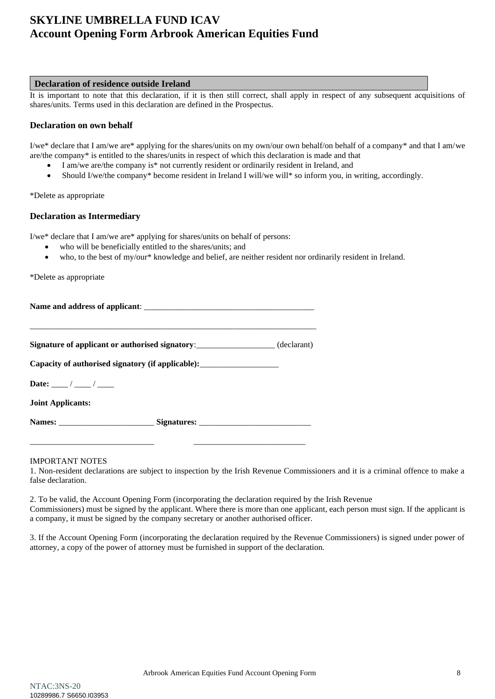#### **Declaration of residence outside Ireland**

It is important to note that this declaration, if it is then still correct, shall apply in respect of any subsequent acquisitions of shares/units. Terms used in this declaration are defined in the Prospectus.

### **Declaration on own behalf**

I/we\* declare that I am/we are\* applying for the shares/units on my own/our own behalf/on behalf of a company\* and that I am/we are/the company\* is entitled to the shares/units in respect of which this declaration is made and that

- I am/we are/the company is\* not currently resident or ordinarily resident in Ireland, and
- Should I/we/the company\* become resident in Ireland I will/we will\* so inform you, in writing, accordingly.

#### \*Delete as appropriate

### **Declaration as Intermediary**

I/we\* declare that I am/we are\* applying for shares/units on behalf of persons:

- who will be beneficially entitled to the shares/units; and
- who, to the best of my/our\* knowledge and belief, are neither resident nor ordinarily resident in Ireland.

\*Delete as appropriate

Name and address of applicant:

\_\_\_\_\_\_\_\_\_\_\_\_\_\_\_\_\_\_\_\_\_\_\_\_\_\_\_\_\_\_\_\_\_\_\_\_\_\_\_\_\_\_\_\_\_\_\_\_\_\_\_\_\_\_\_\_\_\_\_\_\_\_\_\_\_\_\_\_\_ **Signature of applicant or authorised signatory:** (declarant)

**Capacity of authorised signatory (if applicable):**\_\_\_\_\_\_\_\_\_\_\_\_\_\_\_\_\_\_\_

Date: \_\_\_\_ / \_\_\_\_ / \_\_\_\_

**Joint Applicants:**

Names: \_\_\_\_\_\_\_\_\_\_\_\_\_\_\_\_\_\_\_\_\_\_\_\_\_\_\_\_\_\_\_\_Signatures: \_\_\_\_\_\_\_\_\_\_\_\_\_\_\_\_\_\_\_\_\_\_\_\_\_\_\_\_\_\_

\_\_\_\_\_\_\_\_\_\_\_\_\_\_\_\_\_\_\_\_\_\_\_\_\_\_\_\_\_\_ \_\_\_\_\_\_\_\_\_\_\_\_\_\_\_\_\_\_\_\_\_\_\_\_\_\_\_

#### IMPORTANT NOTES

1. Non-resident declarations are subject to inspection by the Irish Revenue Commissioners and it is a criminal offence to make a false declaration.

2. To be valid, the Account Opening Form (incorporating the declaration required by the Irish Revenue Commissioners) must be signed by the applicant. Where there is more than one applicant, each person must sign. If the applicant is a company, it must be signed by the company secretary or another authorised officer.

3. If the Account Opening Form (incorporating the declaration required by the Revenue Commissioners) is signed under power of attorney, a copy of the power of attorney must be furnished in support of the declaration.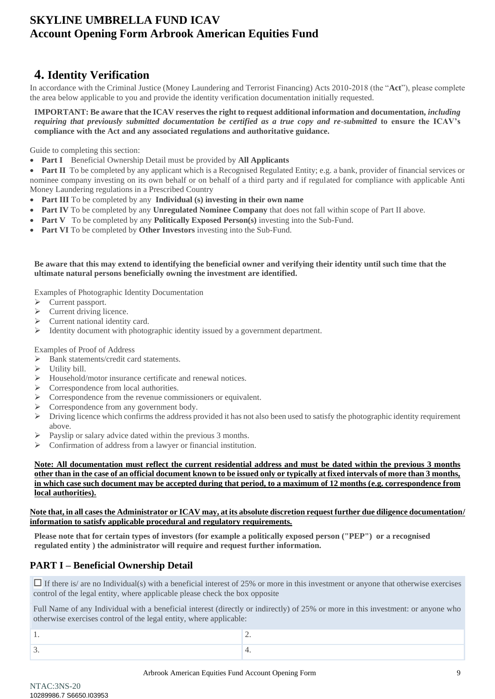# <span id="page-8-0"></span>**4. Identity Verification**

In accordance with the Criminal Justice (Money Laundering and Terrorist Financing) Acts 2010-2018 (the "**Act**"), please complete the area below applicable to you and provide the identity verification documentation initially requested.

**IMPORTANT: Be aware that the ICAV reserves the right to request additional information and documentation,** *including requiring that previously submitted documentation be certified as a true copy and re-submitted* **to ensure the ICAV's compliance with the Act and any associated regulations and authoritative guidance.**

Guide to completing this section:

• **Part I** Beneficial Ownership Detail must be provided by **All Applicants**

• **Part II** To be completed by any applicant which is a Recognised Regulated Entity; e.g. a bank, provider of financial services or nominee company investing on its own behalf or on behalf of a third party and if regulated for compliance with applicable Anti Money Laundering regulations in a Prescribed Country

- **Part III** To be completed by any **Individual** (s) investing in their own name
- **Part IV** To be completed by any **Unregulated Nominee Company** that does not fall within scope of Part II above.
- **Part V** To be completed by any **Politically Exposed Person(s)** investing into the Sub-Fund.
- **Part VI** To be completed by **Other Investors** investing into the Sub-Fund.

#### **Be aware that this may extend to identifying the beneficial owner and verifying their identity until such time that the ultimate natural persons beneficially owning the investment are identified.**

Examples of Photographic Identity Documentation

- ➢ Current passport.
- $\triangleright$  Current driving licence.
- ➢ Current national identity card.
- ➢ Identity document with photographic identity issued by a government department.

Examples of Proof of Address

- ➢ Bank statements/credit card statements.
- ➢ Utility bill.
- ➢ Household/motor insurance certificate and renewal notices.
- ➢ Correspondence from local authorities.
- ➢ Correspondence from the revenue commissioners or equivalent.
- ➢ Correspondence from any government body.
- ➢ Driving licence which confirms the address provided it has not also been used to satisfy the photographic identity requirement above.
- $\triangleright$  Payslip or salary advice dated within the previous 3 months.
- ➢ Confirmation of address from a lawyer or financial institution.

**Note: All documentation must reflect the current residential address and must be dated within the previous 3 months other than in the case of an official document known to be issued only or typically at fixed intervals of more than 3 months, in which case such document may be accepted during that period, to a maximum of 12 months (e.g. correspondence from local authorities).** 

#### **Note that, in all cases the Administrator or ICAV may, at its absolute discretion request further due diligence documentation/ information to satisfy applicable procedural and regulatory requirements.**

**Please note that for certain types of investors (for example a politically exposed person ("PEP") or a recognised regulated entity ) the administrator will require and request further information.**

### **PART I – Beneficial Ownership Detail**

 $\Box$  If there is/ are no Individual(s) with a beneficial interest of 25% or more in this investment or anyone that otherwise exercises control of the legal entity, where applicable please check the box opposite

Full Name of any Individual with a beneficial interest (directly or indirectly) of 25% or more in this investment: or anyone who otherwise exercises control of the legal entity, where applicable:

| $\overline{\phantom{a}}$ |
|--------------------------|
|                          |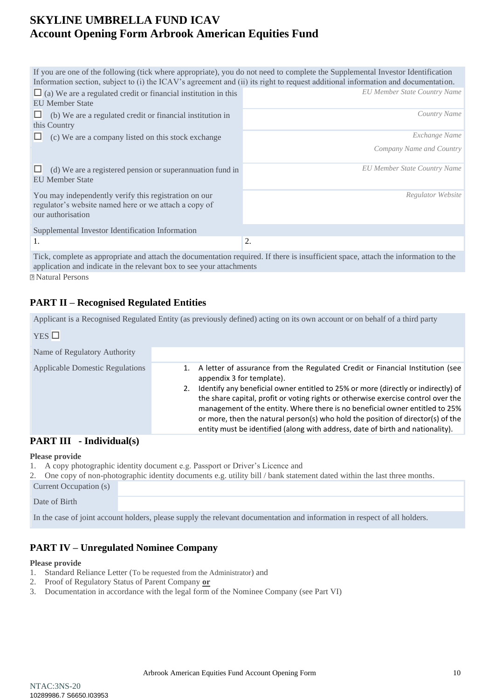|                                                                                                                                     | If you are one of the following (tick where appropriate), you do not need to complete the Supplemental Investor Identification<br>Information section, subject to (i) the ICAV's agreement and (ii) its right to request additional information and documentation. |
|-------------------------------------------------------------------------------------------------------------------------------------|--------------------------------------------------------------------------------------------------------------------------------------------------------------------------------------------------------------------------------------------------------------------|
| $\Box$ (a) We are a regulated credit or financial institution in this<br><b>EU Member State</b>                                     | <b>EU Member State Country Name</b>                                                                                                                                                                                                                                |
| (b) We are a regulated credit or financial institution in<br>this Country                                                           | Country Name                                                                                                                                                                                                                                                       |
| (c) We are a company listed on this stock exchange                                                                                  | Exchange Name                                                                                                                                                                                                                                                      |
|                                                                                                                                     | Company Name and Country                                                                                                                                                                                                                                           |
| (d) We are a registered pension or superannuation fund in<br><b>EU</b> Member State                                                 | <b>EU Member State Country Name</b>                                                                                                                                                                                                                                |
| You may independently verify this registration on our<br>regulator's website named here or we attach a copy of<br>our authorisation | Regulator Website                                                                                                                                                                                                                                                  |
| Supplemental Investor Identification Information                                                                                    |                                                                                                                                                                                                                                                                    |
| 1.                                                                                                                                  | 2.                                                                                                                                                                                                                                                                 |
|                                                                                                                                     | Tight computer as engraphized and ethods the degree optician required. If there is insufficient gross, attach the information to the                                                                                                                               |

Tick, complete as appropriate and attach the documentation required. If there is insufficient space, attach the information to the application and indicate in the relevant box to see your attachments Natural Persons

### **PART II – Recognised Regulated Entities**

Applicant is a Recognised Regulated Entity (as previously defined) acting on its own account or on behalf of a third party

| YES                                    |                                                                                                                                                                                                                                                                                                                                                                                                                                                                                                                                           |
|----------------------------------------|-------------------------------------------------------------------------------------------------------------------------------------------------------------------------------------------------------------------------------------------------------------------------------------------------------------------------------------------------------------------------------------------------------------------------------------------------------------------------------------------------------------------------------------------|
| Name of Regulatory Authority           |                                                                                                                                                                                                                                                                                                                                                                                                                                                                                                                                           |
| <b>Applicable Domestic Regulations</b> | A letter of assurance from the Regulated Credit or Financial Institution (see<br>appendix 3 for template).<br>Identify any beneficial owner entitled to 25% or more (directly or indirectly) of<br>the share capital, profit or voting rights or otherwise exercise control over the<br>management of the entity. Where there is no beneficial owner entitled to 25%<br>or more, then the natural person(s) who hold the position of director(s) of the<br>entity must be identified (along with address, date of birth and nationality). |

### **PART III - Individual(s)**

### **Please provide**

- 1. A copy photographic identity document e.g. Passport or Driver's Licence and
- 2. One copy of non-photographic identity documents e.g. utility bill / bank statement dated within the last three months. Current Occupation (s)

Date of Birth

In the case of joint account holders, please supply the relevant documentation and information in respect of all holders.

### **PART IV – Unregulated Nominee Company**

#### **Please provide**

- 1. Standard Reliance Letter (To be requested from the Administrator) and
- 2. Proof of Regulatory Status of Parent Company **or**
- 3. Documentation in accordance with the legal form of the Nominee Company (see Part VI)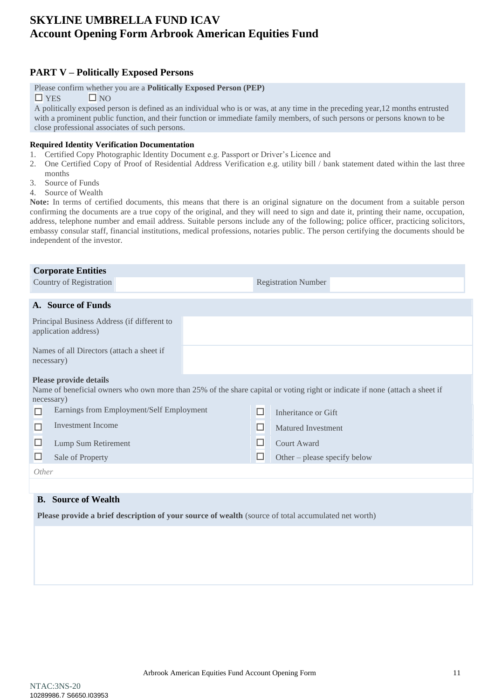### **PART V – Politically Exposed Persons**

#### Please confirm whether you are a **Politically Exposed Person (PEP)**

 $\Box$  YES  $\Box$  NO

A politically exposed person is defined as an individual who is or was, at any time in the preceding year,12 months entrusted with a prominent public function, and their function or immediate family members, of such persons or persons known to be close professional associates of such persons.

#### **Required Identity Verification Documentation**

- 1. Certified Copy Photographic Identity Document e.g. Passport or Driver's Licence and
- 2. One Certified Copy of Proof of Residential Address Verification e.g. utility bill / bank statement dated within the last three months
- 3. Source of Funds
- 4. Source of Wealth

**Note:** In terms of certified documents, this means that there is an original signature on the document from a suitable person confirming the documents are a true copy of the original, and they will need to sign and date it, printing their name, occupation, address, telephone number and email address. Suitable persons include any of the following; police officer, practicing solicitors, embassy consular staff, financial institutions, medical professions, notaries public. The person certifying the documents should be independent of the investor.

| <b>Corporate Entities</b>                                                                                                                                                  |  |                            |                              |  |  |
|----------------------------------------------------------------------------------------------------------------------------------------------------------------------------|--|----------------------------|------------------------------|--|--|
| Country of Registration                                                                                                                                                    |  | <b>Registration Number</b> |                              |  |  |
|                                                                                                                                                                            |  |                            |                              |  |  |
| A. Source of Funds                                                                                                                                                         |  |                            |                              |  |  |
| Principal Business Address (if different to<br>application address)                                                                                                        |  |                            |                              |  |  |
| Names of all Directors (attach a sheet if<br>necessary)                                                                                                                    |  |                            |                              |  |  |
| <b>Please provide details</b><br>Name of beneficial owners who own more than 25% of the share capital or voting right or indicate if none (attach a sheet if<br>necessary) |  |                            |                              |  |  |
| Earnings from Employment/Self Employment<br>П                                                                                                                              |  | П                          | Inheritance or Gift          |  |  |
| <b>Investment Income</b><br>□                                                                                                                                              |  |                            | <b>Matured Investment</b>    |  |  |
| □<br>Lump Sum Retirement                                                                                                                                                   |  | ⊔                          | <b>Court Award</b>           |  |  |
| П<br>Sale of Property                                                                                                                                                      |  | П                          | Other – please specify below |  |  |
| Other                                                                                                                                                                      |  |                            |                              |  |  |
|                                                                                                                                                                            |  |                            |                              |  |  |
| <b>B.</b> Source of Wealth                                                                                                                                                 |  |                            |                              |  |  |
| Please provide a brief description of your source of wealth (source of total accumulated net worth)                                                                        |  |                            |                              |  |  |
|                                                                                                                                                                            |  |                            |                              |  |  |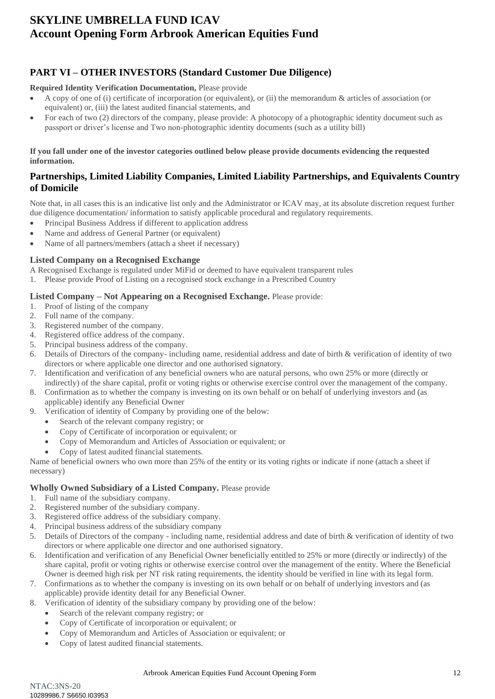### **PART VI – OTHER INVESTORS (Standard Customer Due Diligence)**

### **Required Identity Verification Documentation,** Please provide

- A copy of one of (i) certificate of incorporation (or equivalent), or (ii) the memorandum  $\&$  articles of association (or equivalent) or, (iii) the latest audited financial statements, and
- For each of two (2) directors of the company, please provide: A photocopy of a photographic identity document such as passport or driver's license and Two non-photographic identity documents (such as a utility bill)

**If you fall under one of the investor categories outlined below please provide documents evidencing the requested information.** 

### **Partnerships, Limited Liability Companies, Limited Liability Partnerships, and Equivalents Country of Domicile**

Note that, in all cases this is an indicative list only and the Administrator or ICAV may, at its absolute discretion request further due diligence documentation/ information to satisfy applicable procedural and regulatory requirements.

- Principal Business Address if different to application address
- Name and address of General Partner (or equivalent)
- Name of all partners/members (attach a sheet if necessary)

### **Listed Company on a Recognised Exchange**

A Recognised Exchange is regulated under MiFid or deemed to have equivalent transparent rules

1. Please provide Proof of Listing on a recognised stock exchange in a Prescribed Country

### **Listed Company – Not Appearing on a Recognised Exchange.** Please provide:

- 1. Proof of listing of the company
- 2. Full name of the company.
- 3. Registered number of the company.
- 4. Registered office address of the company.
- 5. Principal business address of the company.
- 6. Details of Directors of the company- including name, residential address and date of birth & verification of identity of two directors or where applicable one director and one authorised signatory.
- 7. Identification and verification of any beneficial owners who are natural persons, who own 25% or more (directly or indirectly) of the share capital, profit or voting rights or otherwise exercise control over the management of the company.
- 8. Confirmation as to whether the company is investing on its own behalf or on behalf of underlying investors and (as applicable) identify any Beneficial Owner
- 9. Verification of identity of Company by providing one of the below:
	- Search of the relevant company registry; or
	- Copy of Certificate of incorporation or equivalent; or
	- Copy of Memorandum and Articles of Association or equivalent; or
	- Copy of latest audited financial statements.

Name of beneficial owners who own more than 25% of the entity or its voting rights or indicate if none (attach a sheet if necessary)

### **Wholly Owned Subsidiary of a Listed Company.** Please provide

- 1. Full name of the subsidiary company.
- 2. Registered number of the subsidiary company.
- 3. Registered office address of the subsidiary company.
- 4. Principal business address of the subsidiary company
- 5. Details of Directors of the company including name, residential address and date of birth & verification of identity of two directors or where applicable one director and one authorised signatory.
- 6. Identification and verification of any Beneficial Owner beneficially entitled to 25% or more (directly or indirectly) of the share capital, profit or voting rights or otherwise exercise control over the management of the entity. Where the Beneficial Owner is deemed high risk per NT risk rating requirements, the identity should be verified in line with its legal form.
- 7. Confirmations as to whether the company is investing on its own behalf or on behalf of underlying investors and (as applicable) provide identity detail for any Beneficial Owner.
- 8. Verification of identity of the subsidiary company by providing one of the below:
	- Search of the relevant company registry; or
	- Copy of Certificate of incorporation or equivalent; or
	- Copy of Memorandum and Articles of Association or equivalent; or
	- Copy of latest audited financial statements.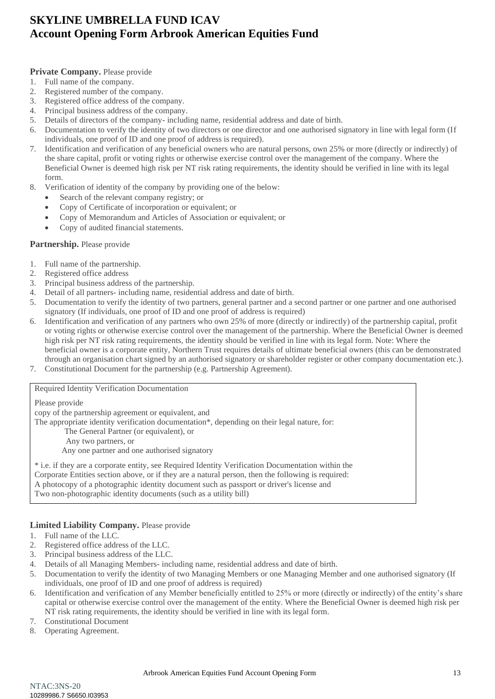### **Private Company.** Please provide

- 1. Full name of the company.
- 2. Registered number of the company.
- 3. Registered office address of the company.
- 4. Principal business address of the company.
- 5. Details of directors of the company- including name, residential address and date of birth.
- 6. Documentation to verify the identity of two directors or one director and one authorised signatory in line with legal form (If individuals, one proof of ID and one proof of address is required).
- 7. Identification and verification of any beneficial owners who are natural persons, own 25% or more (directly or indirectly) of the share capital, profit or voting rights or otherwise exercise control over the management of the company. Where the Beneficial Owner is deemed high risk per NT risk rating requirements, the identity should be verified in line with its legal form.
- 8. Verification of identity of the company by providing one of the below:
	- Search of the relevant company registry; or
	- Copy of Certificate of incorporation or equivalent; or
	- Copy of Memorandum and Articles of Association or equivalent; or
	- Copy of audited financial statements.

### **Partnership.** Please provide

- 1. Full name of the partnership.
- 2. Registered office address
- 3. Principal business address of the partnership.
- 4. Detail of all partners- including name, residential address and date of birth.
- 5. Documentation to verify the identity of two partners, general partner and a second partner or one partner and one authorised signatory (If individuals, one proof of ID and one proof of address is required)
- 6. Identification and verification of any partners who own 25% of more (directly or indirectly) of the partnership capital, profit or voting rights or otherwise exercise control over the management of the partnership. Where the Beneficial Owner is deemed high risk per NT risk rating requirements, the identity should be verified in line with its legal form. Note: Where the beneficial owner is a corporate entity, Northern Trust requires details of ultimate beneficial owners (this can be demonstrated through an organisation chart signed by an authorised signatory or shareholder register or other company documentation etc.).
- 7. Constitutional Document for the partnership (e.g. Partnership Agreement).

#### Required Identity Verification Documentation

Please provide

copy of the partnership agreement or equivalent, and

The appropriate identity verification documentation\*, depending on their legal nature, for:

- The General Partner (or equivalent), or
- Any two partners, or
- Any one partner and one authorised signatory

\* i.e. if they are a corporate entity, see Required Identity Verification Documentation within the Corporate Entities section above, or if they are a natural person, then the following is required: A photocopy of a photographic identity document such as passport or driver's license and Two non-photographic identity documents (such as a utility bill)

### **Limited Liability Company.** Please provide

- 1. Full name of the LLC.
- 2. Registered office address of the LLC.
- 3. Principal business address of the LLC.
- 4. Details of all Managing Members- including name, residential address and date of birth.
- 5. Documentation to verify the identity of two Managing Members or one Managing Member and one authorised signatory (If individuals, one proof of ID and one proof of address is required)
- 6. Identification and verification of any Member beneficially entitled to 25% or more (directly or indirectly) of the entity's share capital or otherwise exercise control over the management of the entity. Where the Beneficial Owner is deemed high risk per NT risk rating requirements, the identity should be verified in line with its legal form.
- 7. Constitutional Document
- 8. Operating Agreement.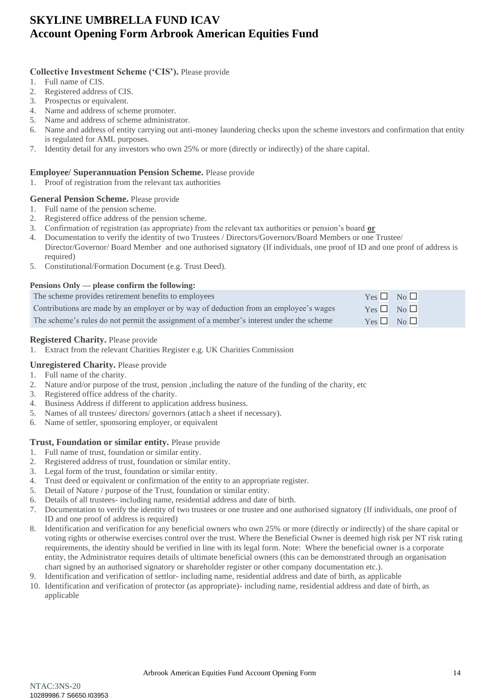### **Collective Investment Scheme ('CIS').** Please provide

- 1. Full name of CIS.
- 2. Registered address of CIS.
- 3. Prospectus or equivalent.
- 4. Name and address of scheme promoter.
- 5. Name and address of scheme administrator.
- 6. Name and address of entity carrying out anti-money laundering checks upon the scheme investors and confirmation that entity is regulated for AML purposes.
- 7. Identity detail for any investors who own 25% or more (directly or indirectly) of the share capital.

### **Employee/ Superannuation Pension Scheme.** Please provide

1. Proof of registration from the relevant tax authorities

### **General Pension Scheme.** Please provide

- 1. Full name of the pension scheme.
- 2. Registered office address of the pension scheme.
- 3. Confirmation of registration (as appropriate) from the relevant tax authorities or pension's board **or**
- 4. Documentation to verify the identity of two Trustees / Directors/Governors/Board Members or one Trustee/ Director/Governor/ Board Member and one authorised signatory (If individuals, one proof of ID and one proof of address is required)
- 5. Constitutional/Formation Document (e.g. Trust Deed).

#### **Pensions Only — please confirm the following:**

| The scheme provides retirement benefits to employees                                    | $Yes \Box No \Box$ |  |
|-----------------------------------------------------------------------------------------|--------------------|--|
| Contributions are made by an employer or by way of deduction from an employee's wages   | $Yes \Box No \Box$ |  |
| The scheme's rules do not permit the assignment of a member's interest under the scheme | $Yes \Box No \Box$ |  |

### **Registered Charity.** Please provide

1. Extract from the relevant Charities Register e.g. UK Charities Commission

### **Unregistered Charity.** Please provide

- 1. Full name of the charity.
- 2. Nature and/or purpose of the trust, pension ,including the nature of the funding of the charity, etc
- 3. Registered office address of the charity.
- 4. Business Address if different to application address business.
- 5. Names of all trustees/ directors/ governors (attach a sheet if necessary).
- 6. Name of settler, sponsoring employer, or equivalent

### **Trust, Foundation or similar entity.** Please provide

- 1. Full name of trust, foundation or similar entity.
- 2. Registered address of trust, foundation or similar entity.
- 3. Legal form of the trust, foundation or similar entity.
- 4. Trust deed or equivalent or confirmation of the entity to an appropriate register.
- 5. Detail of Nature / purpose of the Trust, foundation or similar entity.
- 6. Details of all trustees- including name, residential address and date of birth.
- 7. Documentation to verify the identity of two trustees or one trustee and one authorised signatory (If individuals, one proof of ID and one proof of address is required)
- 8. Identification and verification for any beneficial owners who own 25% or more (directly or indirectly) of the share capital or voting rights or otherwise exercises control over the trust. Where the Beneficial Owner is deemed high risk per NT risk rating requirements, the identity should be verified in line with its legal form. Note: Where the beneficial owner is a corporate entity, the Administrator requires details of ultimate beneficial owners (this can be demonstrated through an organisation chart signed by an authorised signatory or shareholder register or other company documentation etc.).
- 9. Identification and verification of settlor- including name, residential address and date of birth, as applicable
- 10. Identification and verification of protector (as appropriate)- including name, residential address and date of birth, as applicable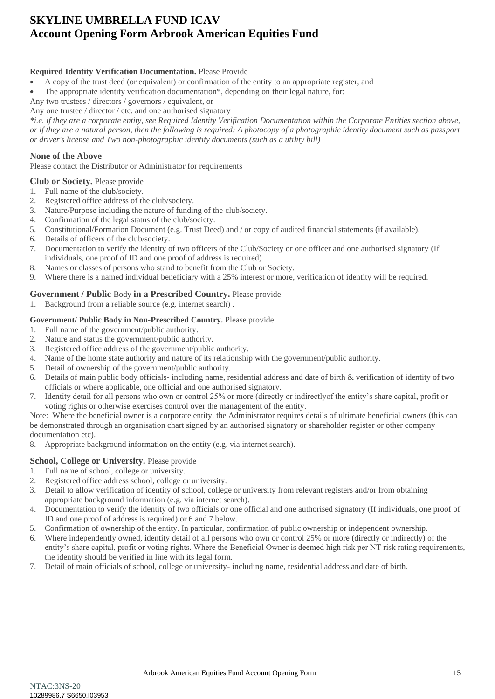### **Required Identity Verification Documentation.** Please Provide

- A copy of the trust deed (or equivalent) or confirmation of the entity to an appropriate register, and
- The appropriate identity verification documentation\*, depending on their legal nature, for:

Any two trustees / directors / governors / equivalent, or

Any one trustee / director / etc. and one authorised signatory

*\*i.e. if they are a corporate entity, see Required Identity Verification Documentation within the Corporate Entities section above, or if they are a natural person, then the following is required: A photocopy of a photographic identity document such as passport or driver's license and Two non-photographic identity documents (such as a utility bill)*

### **None of the Above**

Please contact the Distributor or Administrator for requirements

### **Club or Society.** Please provide

- 1. Full name of the club/society.
- 2. Registered office address of the club/society.
- 3. Nature/Purpose including the nature of funding of the club/society.
- 4. Confirmation of the legal status of the club/society.
- 5. Constitutional/Formation Document (e.g. Trust Deed) and / or copy of audited financial statements (if available).
- 6. Details of officers of the club/society.
- 7. Documentation to verify the identity of two officers of the Club/Society or one officer and one authorised signatory (If individuals, one proof of ID and one proof of address is required)
- 8. Names or classes of persons who stand to benefit from the Club or Society.
- 9. Where there is a named individual beneficiary with a 25% interest or more, verification of identity will be required.

### **Government / Public** Body **in a Prescribed Country.** Please provide

1. Background from a reliable source (e.g. internet search) .

#### **Government/ Public Body in Non-Prescribed Country.** Please provide

- 1. Full name of the government/public authority.
- 2. Nature and status the government/public authority.
- 3. Registered office address of the government/public authority.
- 4. Name of the home state authority and nature of its relationship with the government/public authority.
- 5. Detail of ownership of the government/public authority.
- 6. Details of main public body officials- including name, residential address and date of birth & verification of identity of two officials or where applicable, one official and one authorised signatory.
- 7. Identity detail for all persons who own or control 25% or more (directly or indirectlyof the entity's share capital, profit or voting rights or otherwise exercises control over the management of the entity.

Note: Where the beneficial owner is a corporate entity, the Administrator requires details of ultimate beneficial owners (this can be demonstrated through an organisation chart signed by an authorised signatory or shareholder register or other company documentation etc).

8. Appropriate background information on the entity (e.g. via internet search).

### **School, College or University. Please provide**

- 1. Full name of school, college or university.
- 2. Registered office address school, college or university.
- 3. Detail to allow verification of identity of school, college or university from relevant registers and/or from obtaining appropriate background information (e.g. via internet search).
- 4. Documentation to verify the identity of two officials or one official and one authorised signatory (If individuals, one proof of ID and one proof of address is required) or 6 and 7 below.
- 5. Confirmation of ownership of the entity. In particular, confirmation of public ownership or independent ownership.
- 6. Where independently owned, identity detail of all persons who own or control 25% or more (directly or indirectly) of the entity's share capital, profit or voting rights. Where the Beneficial Owner is deemed high risk per NT risk rating requirements, the identity should be verified in line with its legal form.
- 7. Detail of main officials of school, college or university- including name, residential address and date of birth.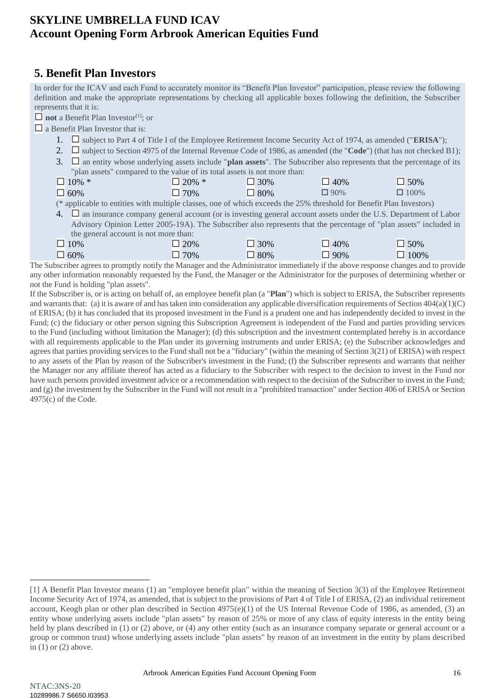### <span id="page-15-0"></span>**5. Benefit Plan Investors**

In order for the ICAV and each Fund to accurately monitor its "Benefit Plan Investor" participation, please review the following definition and make the appropriate representations by checking all applicable boxes following the definition, the Subscriber represents that it is:

 $\Box$  **not** a Benefit Plan Investor<sup>[1]</sup>; or

 $\Box$  a Benefit Plan Investor that is:

- 1.  $\square$  subject to Part 4 of Title I of the Employee Retirement Income Security Act of 1974, as amended ("**ERISA**");
- 2.  $\square$  subject to Section 4975 of the Internal Revenue Code of 1986, as amended (the "**Code**") (that has not checked B1);
- 3.  $\Box$  an entity whose underlying assets include "**plan assets**". The Subscriber also represents that the percentage of its "plan assets" compared to the value of its total assets is not more than:

| $\Box$ 10% * | $\Box$ 20% * | $\Box$ 30% | 140%       | $\Box$ 50%  |
|--------------|--------------|------------|------------|-------------|
| $\Box$ 60%   | 70%          | $\Box$ 80% | $\Box$ 90% | $\Box$ 100% |

(\* applicable to entities with multiple classes, one of which exceeds the 25% threshold for Benefit Plan Investors)

4.  $\Box$  an insurance company general account (or is investing general account assets under the U.S. Department of Labor Advisory Opinion Letter 2005-19A). The Subscriber also represents that the percentage of "plan assets" included in the general account is not more than:

| $\Box$ 10% | 20% | 30% | 40%      | 50%  |
|------------|-----|-----|----------|------|
| $\Box$ 60% | 70% | 80% | $90\%$   | 100% |
|            |     |     | $\cdots$ |      |

The Subscriber agrees to promptly notify the Manager and the Administrator immediately if the above response changes and to provide any other information reasonably requested by the Fund, the Manager or the Administrator for the purposes of determining whether or not the Fund is holding "plan assets".

If the Subscriber is, or is acting on behalf of, an employee benefit plan (a "**Plan**") which is subject to ERISA, the Subscriber represents and warrants that: (a) it is aware of and has taken into consideration any applicable diversification requirements of Section 404(a)(1)(C) of ERISA; (b) it has concluded that its proposed investment in the Fund is a prudent one and has independently decided to invest in the Fund; (c) the fiduciary or other person signing this Subscription Agreement is independent of the Fund and parties providing services to the Fund (including without limitation the Manager); (d) this subscription and the investment contemplated hereby is in accordance with all requirements applicable to the Plan under its governing instruments and under ERISA; (e) the Subscriber acknowledges and agrees that parties providing services to the Fund shall not be a "fiduciary" (within the meaning of Section 3(21) of ERISA) with respect to any assets of the Plan by reason of the Subscriber's investment in the Fund; (f) the Subscriber represents and warrants that neither the Manager nor any affiliate thereof has acted as a fiduciary to the Subscriber with respect to the decision to invest in the Fund nor have such persons provided investment advice or a recommendation with respect to the decision of the Subscriber to invest in the Fund; and (g) the investment by the Subscriber in the Fund will not result in a "prohibited transaction" under Section 406 of ERISA or Section 4975(c) of the Code.

<sup>[1]</sup> A Benefit Plan Investor means (1) an "employee benefit plan" within the meaning of Section 3(3) of the Employee Retirement Income Security Act of 1974, as amended, that is subject to the provisions of Part 4 of Title I of ERISA, (2) an individual retirement account, Keogh plan or other plan described in Section  $4975(e)(1)$  of the US Internal Revenue Code of 1986, as amended, (3) an entity whose underlying assets include "plan assets" by reason of 25% or more of any class of equity interests in the entity being held by plans described in (1) or (2) above, or (4) any other entity (such as an insurance company separate or general account or a group or common trust) whose underlying assets include "plan assets" by reason of an investment in the entity by plans described in (1) or (2) above.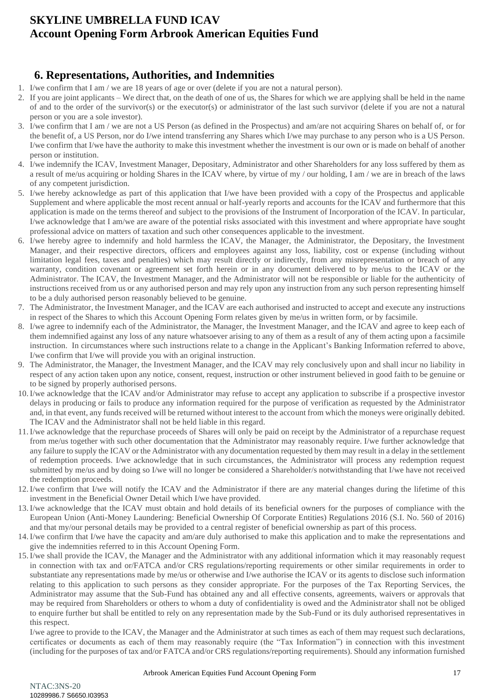### <span id="page-16-0"></span>**6. Representations, Authorities, and Indemnities**

- 1. I/we confirm that I am / we are 18 years of age or over (delete if you are not a natural person).
- 2. If you are joint applicants We direct that, on the death of one of us, the Shares for which we are applying shall be held in the name of and to the order of the survivor(s) or the executor(s) or administrator of the last such survivor (delete if you are not a natural person or you are a sole investor).
- 3. I/we confirm that I am / we are not a US Person (as defined in the Prospectus) and am/are not acquiring Shares on behalf of, or for the benefit of, a US Person, nor do I/we intend transferring any Shares which I/we may purchase to any person who is a US Person. I/we confirm that I/we have the authority to make this investment whether the investment is our own or is made on behalf of another person or institution.
- 4. I/we indemnify the ICAV, Investment Manager, Depositary, Administrator and other Shareholders for any loss suffered by them as a result of me/us acquiring or holding Shares in the ICAV where, by virtue of my / our holding, I am / we are in breach of the laws of any competent jurisdiction.
- 5. I/we hereby acknowledge as part of this application that I/we have been provided with a copy of the Prospectus and applicable Supplement and where applicable the most recent annual or half-yearly reports and accounts for the ICAV and furthermore that this application is made on the terms thereof and subject to the provisions of the Instrument of Incorporation of the ICAV. In particular, I/we acknowledge that I am/we are aware of the potential risks associated with this investment and where appropriate have sought professional advice on matters of taxation and such other consequences applicable to the investment.
- 6. I/we hereby agree to indemnify and hold harmless the ICAV, the Manager, the Administrator, the Depositary, the Investment Manager, and their respective directors, officers and employees against any loss, liability, cost or expense (including without limitation legal fees, taxes and penalties) which may result directly or indirectly, from any misrepresentation or breach of any warranty, condition covenant or agreement set forth herein or in any document delivered to by me/us to the ICAV or the Administrator. The ICAV, the Investment Manager, and the Administrator will not be responsible or liable for the authenticity of instructions received from us or any authorised person and may rely upon any instruction from any such person representing himself to be a duly authorised person reasonably believed to be genuine.
- 7. The Administrator, the Investment Manager, and the ICAV are each authorised and instructed to accept and execute any instructions in respect of the Shares to which this Account Opening Form relates given by me/us in written form, or by facsimile.
- 8. I/we agree to indemnify each of the Administrator, the Manager, the Investment Manager, and the ICAV and agree to keep each of them indemnified against any loss of any nature whatsoever arising to any of them as a result of any of them acting upon a facsimile instruction. In circumstances where such instructions relate to a change in the Applicant's Banking Information referred to above, I/we confirm that I/we will provide you with an original instruction.
- 9. The Administrator, the Manager, the Investment Manager, and the ICAV may rely conclusively upon and shall incur no liability in respect of any action taken upon any notice, consent, request, instruction or other instrument believed in good faith to be genuine or to be signed by properly authorised persons.
- 10.I/we acknowledge that the ICAV and/or Administrator may refuse to accept any application to subscribe if a prospective investor delays in producing or fails to produce any information required for the purpose of verification as requested by the Administrator and, in that event, any funds received will be returned without interest to the account from which the moneys were originally debited. The ICAV and the Administrator shall not be held liable in this regard.
- 11.I/we acknowledge that the repurchase proceeds of Shares will only be paid on receipt by the Administrator of a repurchase request from me/us together with such other documentation that the Administrator may reasonably require. I/we further acknowledge that any failure to supply the ICAV or the Administrator with any documentation requested by them may result in a delay in the settlement of redemption proceeds. I/we acknowledge that in such circumstances, the Administrator will process any redemption request submitted by me/us and by doing so I/we will no longer be considered a Shareholder/s notwithstanding that I/we have not received the redemption proceeds.
- 12.I/we confirm that I/we will notify the ICAV and the Administrator if there are any material changes during the lifetime of this investment in the Beneficial Owner Detail which I/we have provided.
- 13.I/we acknowledge that the ICAV must obtain and hold details of its beneficial owners for the purposes of compliance with the European Union (Anti-Money Laundering: Beneficial Ownership Of Corporate Entities) Regulations 2016 (S.I. No. 560 of 2016) and that my/our personal details may be provided to a central register of beneficial ownership as part of this process.
- 14.I/we confirm that I/we have the capacity and am/are duly authorised to make this application and to make the representations and give the indemnities referred to in this Account Opening Form.
- 15.I/we shall provide the ICAV, the Manager and the Administrator with any additional information which it may reasonably request in connection with tax and or/FATCA and/or CRS regulations/reporting requirements or other similar requirements in order to substantiate any representations made by me/us or otherwise and I/we authorise the ICAV or its agents to disclose such information relating to this application to such persons as they consider appropriate. For the purposes of the Tax Reporting Services, the Administrator may assume that the Sub-Fund has obtained any and all effective consents, agreements, waivers or approvals that may be required from Shareholders or others to whom a duty of confidentiality is owed and the Administrator shall not be obliged to enquire further but shall be entitled to rely on any representation made by the Sub-Fund or its duly authorised representatives in this respect.

I/we agree to provide to the ICAV, the Manager and the Administrator at such times as each of them may request such declarations, certificates or documents as each of them may reasonably require (the "Tax Information") in connection with this investment (including for the purposes of tax and/or FATCA and/or CRS regulations/reporting requirements). Should any information furnished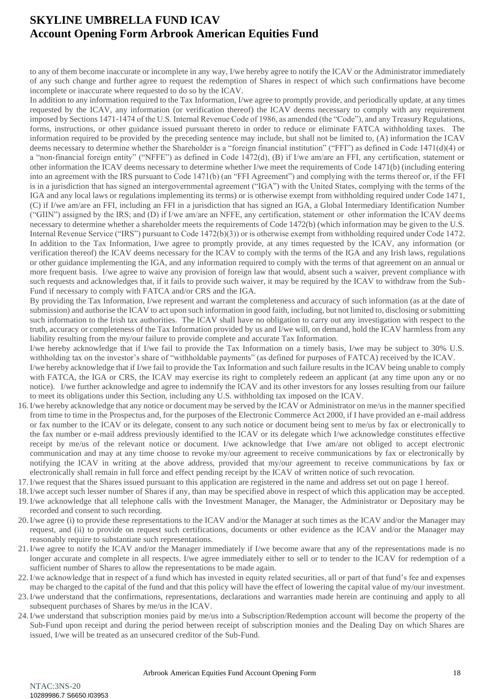to any of them become inaccurate or incomplete in any way, I/we hereby agree to notify the ICAV or the Administrator immediately of any such change and further agree to request the redemption of Shares in respect of which such confirmations have become incomplete or inaccurate where requested to do so by the ICAV.

In addition to any information required to the Tax Information, I/we agree to promptly provide, and periodically update, at any times requested by the ICAV, any information (or verification thereof) the ICAV deems necessary to comply with any requirement imposed by Sections 1471-1474 of the U.S. Internal Revenue Code of 1986, as amended (the "Code"), and any Treasury Regulations, forms, instructions, or other guidance issued pursuant thereto in order to reduce or eliminate FATCA withholding taxes. The information required to be provided by the preceding sentence may include, but shall not be limited to, (A) information the ICAV deems necessary to determine whether the Shareholder is a "foreign financial institution" ("FFI") as defined in Code 1471(d)(4) or a "non-financial foreign entity" ("NFFE") as defined in Code 1472(d), (B) if I/we am/are an FFI, any certification, statement or other information the ICAV deems necessary to determine whether I/we meet the requirements of Code 1471(b) (including entering into an agreement with the IRS pursuant to Code 1471(b) (an "FFI Agreement") and complying with the terms thereof or, if the FFI is in a jurisdiction that has signed an intergovernmental agreement ("IGA") with the United States, complying with the terms of the IGA and any local laws or regulations implementing its terms) or is otherwise exempt from withholding required under Code 1471, (C) if I/we am/are an FFI, including an FFI in a jurisdiction that has signed an IGA, a Global Intermediary Identification Number ("GIIN") assigned by the IRS; and (D) if I/we am/are an NFFE, any certification, statement or other information the ICAV deems necessary to determine whether a shareholder meets the requirements of Code 1472(b) (which information may be given to the U.S. Internal Revenue Service ("IRS") pursuant to Code 1472(b)(3)) or is otherwise exempt from withholding required under Code 1472. In addition to the Tax Information, I/we agree to promptly provide, at any times requested by the ICAV, any information (or verification thereof) the ICAV deems necessary for the ICAV to comply with the terms of the IGA and any Irish laws, regulations or other guidance implementing the IGA, and any information required to comply with the terms of that agreement on an annual or more frequent basis. I/we agree to waive any provision of foreign law that would, absent such a waiver, prevent compliance with such requests and acknowledges that, if it fails to provide such waiver, it may be required by the ICAV to withdraw from the Sub-Fund if necessary to comply with FATCA and/or CRS and the IGA.

By providing the Tax Information, I/we represent and warrant the completeness and accuracy of such information (as at the date of submission) and authorise the ICAV to act upon such information in good faith, including, but not limited to, disclosing or submitting such information to the Irish tax authorities. The ICAV shall have no obligation to carry out any investigation with respect to the truth, accuracy or completeness of the Tax Information provided by us and I/we will, on demand, hold the ICAV harmless from any liability resulting from the my/our failure to provide complete and accurate Tax Information.

I/we hereby acknowledge that if I/we fail to provide the Tax Information on a timely basis, I/we may be subject to 30% U.S. withholding tax on the investor's share of "withholdable payments" (as defined for purposes of FATCA) received by the ICAV.

I/we hereby acknowledge that if I/we fail to provide the Tax Information and such failure results in the ICAV being unable to comply with FATCA, the IGA or CRS, the ICAV may exercise its right to completely redeem an applicant (at any time upon any or no notice). I/we further acknowledge and agree to indemnify the ICAV and its other investors for any losses resulting from our failure to meet its obligations under this Section, including any U.S. withholding tax imposed on the ICAV.

- 16.I/we hereby acknowledge that any notice or document may be served by the ICAV or Administrator on me/us in the manner specified from time to time in the Prospectus and, for the purposes of the Electronic Commerce Act 2000, if I have provided an e-mail address or fax number to the ICAV or its delegate, consent to any such notice or document being sent to me/us by fax or electronically to the fax number or e-mail address previously identified to the ICAV or its delegate which I/we acknowledge constitutes effective receipt by me/us of the relevant notice or document. I/we acknowledge that I/we am/are not obliged to accept electronic communication and may at any time choose to revoke my/our agreement to receive communications by fax or electronically by notifying the ICAV in writing at the above address, provided that my/our agreement to receive communications by fax or electronically shall remain in full force and effect pending receipt by the ICAV of written notice of such revocation.
- 17.I/we request that the Shares issued pursuant to this application are registered in the name and address set out on page 1 hereof.
- 18.I/we accept such lesser number of Shares if any, than may be specified above in respect of which this application may be accepted. 19.I/we acknowledge that all telephone calls with the Investment Manager, the Manager, the Administrator or Depositary may be recorded and consent to such recording.
- 20.I/we agree (i) to provide these representations to the ICAV and/or the Manager at such times as the ICAV and/or the Manager may request, and (ii) to provide on request such certifications, documents or other evidence as the ICAV and/or the Manager may reasonably require to substantiate such representations.
- 21.I/we agree to notify the ICAV and/or the Manager immediately if I/we become aware that any of the representations made is no longer accurate and complete in all respects. I/we agree immediately either to sell or to tender to the ICAV for redemption of a sufficient number of Shares to allow the representations to be made again.
- 22.I/we acknowledge that in respect of a fund which has invested in equity related securities, all or part of that fund's fee and expenses may be charged to the capital of the fund and that this policy will have the effect of lowering the capital value of my/our investment.
- 23.I/we understand that the confirmations, representations, declarations and warranties made herein are continuing and apply to all subsequent purchases of Shares by me/us in the ICAV.
- 24.I/we understand that subscription monies paid by me/us into a Subscription/Redemption account will become the property of the Sub-Fund upon receipt and during the period between receipt of subscription monies and the Dealing Day on which Shares are issued, I/we will be treated as an unsecured creditor of the Sub-Fund.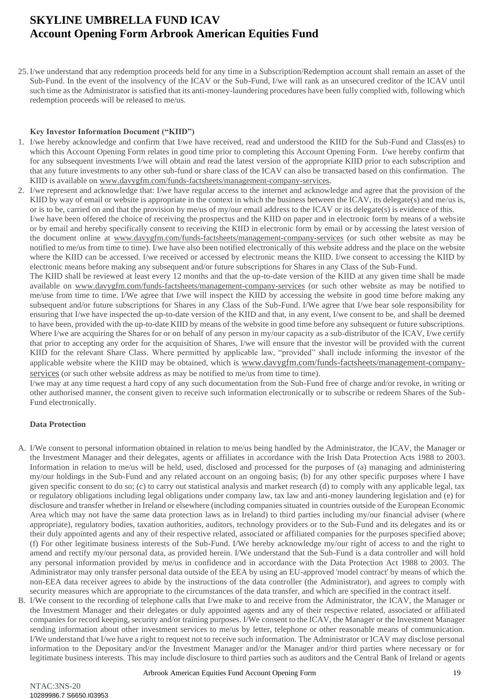25.I/we understand that any redemption proceeds held for any time in a Subscription/Redemption account shall remain an asset of the Sub-Fund. In the event of the insolvency of the ICAV or the Sub-Fund, I/we will rank as an unsecured creditor of the ICAV until such time as the Administrator is satisfied that its anti-money-laundering procedures have been fully complied with, following which redemption proceeds will be released to me/us.

#### **Key Investor Information Document ("KIID")**

- 1. I/we hereby acknowledge and confirm that I/we have received, read and understood the KIID for the Sub-Fund and Class(es) to which this Account Opening Form relates in good time prior to completing this Account Opening Form. I/we hereby confirm that for any subsequent investments I/we will obtain and read the latest version of the appropriate KIID prior to each subscription and that any future investments to any other sub-fund or share class of the ICAV can also be transacted based on this confirmation. The KIID is available on [www.davygfm.com/funds-factsheets/management-company-services](http://www.davygfm.com/funds-factsheets/management-company-services).
- 2. I/we represent and acknowledge that: I/we have regular access to the internet and acknowledge and agree that the provision of the KIID by way of email or website is appropriate in the context in which the business between the ICAV, its delegate(s) and me/us is, or is to be, carried on and that the provision by me/us of my/our email address to the ICAV or its delegate(s) is evidence of this. I/we have been offered the choice of receiving the prospectus and the KIID on paper and in electronic form by means of a website
	- or by email and hereby specifically consent to receiving the KIID in electronic form by email or by accessing the latest version of the document online at [www.davygfm.com/funds-factsheets/management-company-services](http://www.davygfm.com/funds-factsheets/management-company-services) (or such other website as may be notified to me/us from time to time). I/we have also been notified electronically of this website address and the place on the website where the KIID can be accessed. I/we received or accessed by electronic means the KIID. I/we consent to accessing the KIID by electronic means before making any subsequent and/or future subscriptions for Shares in any Class of the Sub-Fund.

The KIID shall be reviewed at least every 12 months and that the up-to-date version of the KIID at any given time shall be made available on [www.davygfm.com/funds-factsheets/management-company-services](http://www.davygfm.com/funds-factsheets/management-company-services) (or such other website as may be notified to me/use from time to time. I/We agree that I/we will inspect the KIID by accessing the website in good time before making any subsequent and/or future subscriptions for Shares in any Class of the Sub-Fund. I/We agree that I/we bear sole responsibility for ensuring that I/we have inspected the up-to-date version of the KIID and that, in any event, I/we consent to be, and shall be deemed to have been, provided with the up-to-date KIID by means of the website in good time before any subsequent or future subscriptions. Where I/we are acquiring the Shares for or on behalf of any person in my/our capacity as a sub-distributor of the ICAV, I/we certify that prior to accepting any order for the acquisition of Shares, I/we will ensure that the investor will be provided with the current KIID for the relevant Share Class. Where permitted by applicable law, "provided" shall include informing the investor of the applicable website where the KIID may be obtained, which is [www.davygfm.com/funds-factsheets/management-company](http://www.davygfm.com/funds-factsheets/management-company-services)[services](http://www.davygfm.com/funds-factsheets/management-company-services) (or such other website address as may be notified to me/us from time to time).

I/we may at any time request a hard copy of any such documentation from the Sub-Fund free of charge and/or revoke, in writing or other authorised manner, the consent given to receive such information electronically or to subscribe or redeem Shares of the Sub-Fund electronically.

#### **Data Protection**

- A. I/We consent to personal information obtained in relation to me/us being handled by the Administrator, the ICAV, the Manager or the Investment Manager and their delegates, agents or affiliates in accordance with the Irish Data Protection Acts 1988 to 2003. Information in relation to me/us will be held, used, disclosed and processed for the purposes of (a) managing and administering my/our holdings in the Sub-Fund and any related account on an ongoing basis; (b) for any other specific purposes where I have given specific consent to do so; (c) to carry out statistical analysis and market research (d) to comply with any applicable legal, tax or regulatory obligations including legal obligations under company law, tax law and anti-money laundering legislation and (e) for disclosure and transfer whether in Ireland or elsewhere (including companies situated in countries outside of the European Economic Area which may not have the same data protection laws as in Ireland) to third parties including my/our financial adviser (where appropriate), regulatory bodies, taxation authorities, auditors, technology providers or to the Sub-Fund and its delegates and its or their duly appointed agents and any of their respective related, associated or affiliated companies for the purposes specified above; (f) For other legitimate business interests of the Sub-Fund. I/We hereby acknowledge my/our right of access to and the right to amend and rectify my/our personal data, as provided herein. I/We understand that the Sub-Fund is a data controller and will hold any personal information provided by me/us in confidence and in accordance with the Data Protection Act 1988 to 2003. The Administrator may only transfer personal data outside of the EEA by using an EU-approved 'model contract' by means of which the non-EEA data receiver agrees to abide by the instructions of the data controller (the Administrator), and agrees to comply with security measures which are appropriate to the circumstances of the data transfer, and which are specified in the contract itself.
- B. I/We consent to the recording of telephone calls that I/we make to and receive from the Administrator, the ICAV, the Manager or the Investment Manager and their delegates or duly appointed agents and any of their respective related, associated or affiliated companies for record keeping, security and/or training purposes. I/We consent to the ICAV, the Manager or the Investment Manager sending information about other investment services to me/us by letter, telephone or other reasonable means of communication. I/We understand that I/we have a right to request not to receive such information. The Administrator or ICAV may disclose personal information to the Depositary and/or the Investment Manager and/or the Manager and/or third parties where necessary or for legitimate business interests. This may include disclosure to third parties such as auditors and the Central Bank of Ireland or agents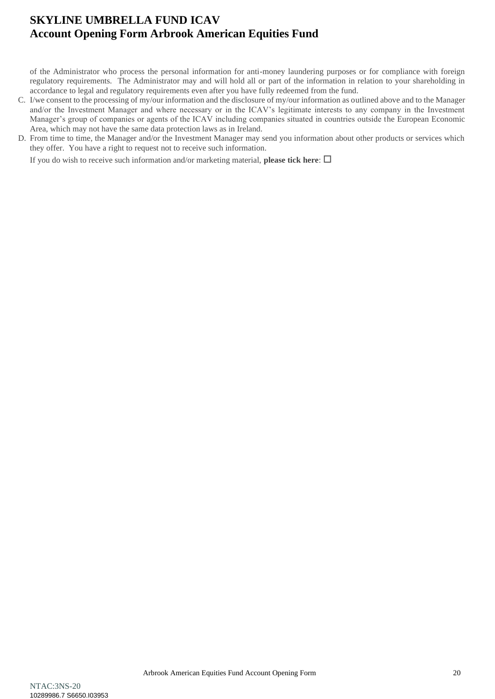of the Administrator who process the personal information for anti-money laundering purposes or for compliance with foreign regulatory requirements. The Administrator may and will hold all or part of the information in relation to your shareholding in accordance to legal and regulatory requirements even after you have fully redeemed from the fund.

- C. I/we consent to the processing of my/our information and the disclosure of my/our information as outlined above and to the Manager and/or the Investment Manager and where necessary or in the ICAV's legitimate interests to any company in the Investment Manager's group of companies or agents of the ICAV including companies situated in countries outside the European Economic Area, which may not have the same data protection laws as in Ireland.
- D. From time to time, the Manager and/or the Investment Manager may send you information about other products or services which they offer. You have a right to request not to receive such information.

If you do wish to receive such information and/or marketing material, **please tick here**:  $\Box$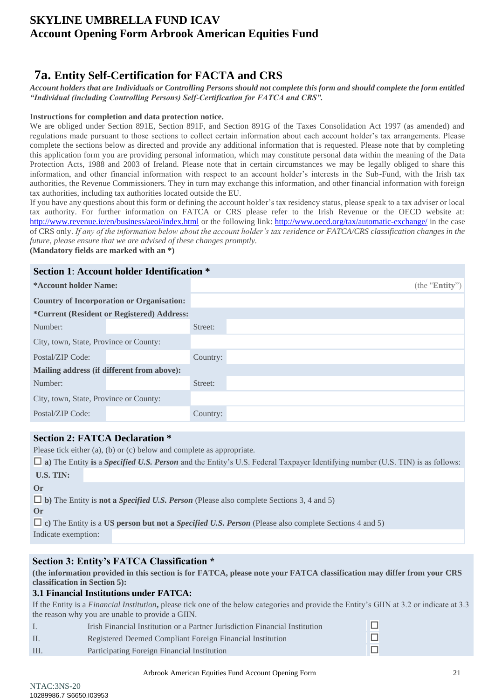# <span id="page-20-0"></span>**7a. Entity Self-Certification for FACTA and CRS**

*Account holders that are Individuals or Controlling Persons should not complete this form and should complete the form entitled "Individual (including Controlling Persons) Self-Certification for FATCA and CRS".*

#### **Instructions for completion and data protection notice.**

We are obliged under Section 891E, Section 891F, and Section 891G of the Taxes Consolidation Act 1997 (as amended) and regulations made pursuant to those sections to collect certain information about each account holder's tax arrangements. Please complete the sections below as directed and provide any additional information that is requested. Please note that by completing this application form you are providing personal information, which may constitute personal data within the meaning of the Data Protection Acts, 1988 and 2003 of Ireland. Please note that in certain circumstances we may be legally obliged to share this information, and other financial information with respect to an account holder's interests in the Sub-Fund, with the Irish tax authorities, the Revenue Commissioners. They in turn may exchange this information, and other financial information with foreign tax authorities, including tax authorities located outside the EU.

If you have any questions about this form or defining the account holder's tax residency status, please speak to a tax adviser or local tax authority. For further information on FATCA or CRS please refer to the Irish Revenue or the OECD website at: <http://www.revenue.ie/en/business/aeoi/index.html> or the following link:<http://www.oecd.org/tax/automatic-exchange/> in the case of CRS only. *If any of the information below about the account holder's tax residence or FATCA/CRS classification changes in the future, please ensure that we are advised of these changes promptly.*

**(Mandatory fields are marked with an \*)** 

### **Section 1**: **Account holder Identification \***

| *Account holder Name:                  |                                                    | (the " $Entity$ ") |
|----------------------------------------|----------------------------------------------------|--------------------|
|                                        | <b>Country of Incorporation or Organisation:</b>   |                    |
|                                        | <i>*</i> Current (Resident or Registered) Address: |                    |
| Number:                                |                                                    | Street:            |
| City, town, State, Province or County: |                                                    |                    |
| Postal/ZIP Code:                       |                                                    | Country:           |
|                                        | Mailing address (if different from above):         |                    |
| Number:                                |                                                    | Street:            |
| City, town, State, Province or County: |                                                    |                    |
| Postal/ZIP Code:                       |                                                    | Country:           |

### **Section 2: FATCA Declaration \***

Please tick either (a), (b) or (c) below and complete as appropriate.

|                     | $\Box$ a) The Entity is a <i>Specified U.S. Person</i> and the Entity's U.S. Federal Taxpayer Identifying number (U.S. TIN) is as follows: |
|---------------------|--------------------------------------------------------------------------------------------------------------------------------------------|
| <b>U.S. TIN:</b>    |                                                                                                                                            |
| $\alpha$            |                                                                                                                                            |
|                     | $\Box$ b) The Entity is <b>not a <i>Specified U.S. Person</i></b> (Please also complete Sections 3, 4 and 5)                               |
| $\alpha$            |                                                                                                                                            |
|                     | $\Box$ c) The Entity is a US person but not a <i>Specified U.S. Person</i> (Please also complete Sections 4 and 5)                         |
| Indicate exemption: |                                                                                                                                            |
|                     |                                                                                                                                            |

### **Section 3: Entity's FATCA Classification \***

**(the information provided in this section is for FATCA, please note your FATCA classification may differ from your CRS classification in Section 5):** 

### **3.1 Financial Institutions under FATCA:**

If the Entity is a *Financial Institution***,** please tick one of the below categories and provide the Entity's GIIN at 3.2 or indicate at 3.3 the reason why you are unable to provide a GIIN.

- I. Irish Financial Institution or a Partner Jurisdiction Financial Institution II. Registered Deemed Compliant Foreign Financial Institution
- III. Participating Foreign Financial Institution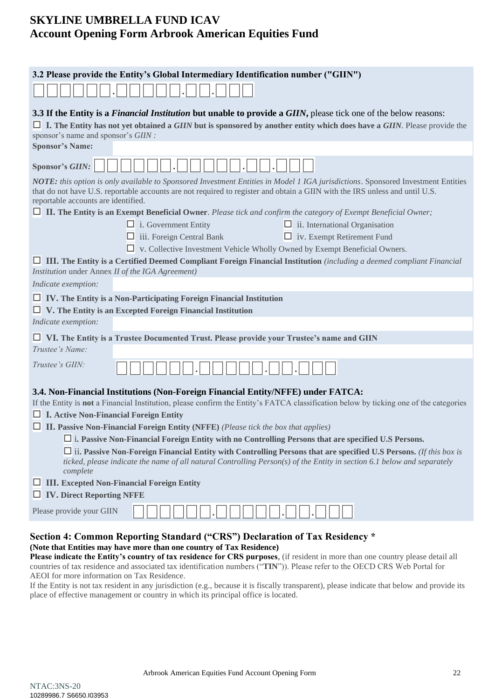| 3.2 Please provide the Entity's Global Intermediary Identification number ("GIIN")                                                                                                                                                                                                                     |                                       |
|--------------------------------------------------------------------------------------------------------------------------------------------------------------------------------------------------------------------------------------------------------------------------------------------------------|---------------------------------------|
|                                                                                                                                                                                                                                                                                                        |                                       |
| 3.3 If the Entity is a <i>Financial Institution</i> but unable to provide a <i>GIIN</i> , please tick one of the below reasons:                                                                                                                                                                        |                                       |
| $\Box$ I. The Entity has not yet obtained a GIIN but is sponsored by another entity which does have a GIIN. Please provide the                                                                                                                                                                         |                                       |
| sponsor's name and sponsor's GIIN :<br><b>Sponsor's Name:</b>                                                                                                                                                                                                                                          |                                       |
|                                                                                                                                                                                                                                                                                                        |                                       |
| <b>Sponsor's GIIN:</b>                                                                                                                                                                                                                                                                                 |                                       |
| NOTE: this option is only available to Sponsored Investment Entities in Model 1 IGA jurisdictions. Sponsored Investment Entities<br>that do not have U.S. reportable accounts are not required to register and obtain a GIIN with the IRS unless and until U.S.<br>reportable accounts are identified. |                                       |
| $\Box$ II. The Entity is an Exempt Beneficial Owner. Please tick and confirm the category of Exempt Beneficial Owner;                                                                                                                                                                                  |                                       |
| $\Box$ i. Government Entity                                                                                                                                                                                                                                                                            | $\Box$ ii. International Organisation |
| $\Box$ iii. Foreign Central Bank                                                                                                                                                                                                                                                                       | $\Box$ iv. Exempt Retirement Fund     |
| $\Box$ v. Collective Investment Vehicle Wholly Owned by Exempt Beneficial Owners.                                                                                                                                                                                                                      |                                       |
| $\Box$ III. The Entity is a Certified Deemed Compliant Foreign Financial Institution (including a deemed compliant Financial<br>Institution under Annex II of the IGA Agreement)                                                                                                                       |                                       |
| Indicate exemption:                                                                                                                                                                                                                                                                                    |                                       |
| $\Box$ IV. The Entity is a Non-Participating Foreign Financial Institution<br>$\Box$ V. The Entity is an Excepted Foreign Financial Institution                                                                                                                                                        |                                       |
| Indicate exemption:                                                                                                                                                                                                                                                                                    |                                       |
| $\Box$ VI. The Entity is a Trustee Documented Trust. Please provide your Trustee's name and GIIN                                                                                                                                                                                                       |                                       |
| Trustee's Name:                                                                                                                                                                                                                                                                                        |                                       |
| Trustee's GIIN:                                                                                                                                                                                                                                                                                        |                                       |
| 3.4. Non-Financial Institutions (Non-Foreign Financial Entity/NFFE) under FATCA:                                                                                                                                                                                                                       |                                       |
| If the Entity is not a Financial Institution, please confirm the Entity's FATCA classification below by ticking one of the categories                                                                                                                                                                  |                                       |
| $\Box$ I. Active Non-Financial Foreign Entity                                                                                                                                                                                                                                                          |                                       |
| $\Box$ II. Passive Non-Financial Foreign Entity (NFFE) (Please tick the box that applies)                                                                                                                                                                                                              |                                       |
| $\square$ i. Passive Non-Financial Foreign Entity with no Controlling Persons that are specified U.S Persons.                                                                                                                                                                                          |                                       |
| $\Box$ ii. Passive Non-Foreign Financial Entity with Controlling Persons that are specified U.S Persons. (If this box is<br>ticked, please indicate the name of all natural Controlling Person(s) of the Entity in section 6.1 below and separately                                                    |                                       |
| complete<br><b>III.</b> Excepted Non-Financial Foreign Entity                                                                                                                                                                                                                                          |                                       |
| <b>NET IV. Direct Reporting NFFE</b>                                                                                                                                                                                                                                                                   |                                       |
| Please provide your GIIN                                                                                                                                                                                                                                                                               |                                       |
|                                                                                                                                                                                                                                                                                                        |                                       |

### **Section 4: Common Reporting Standard ("CRS") Declaration of Tax Residency \* (Note that Entities may have more than one country of Tax Residence)**

**Please indicate the Entity's country of tax residence for CRS purposes**, (if resident in more than one country please detail all countries of tax residence and associated tax identification numbers ("**TIN**")). Please refer to the OECD CRS Web Portal for AEOI for more information on Tax Residence.

If the Entity is not tax resident in any jurisdiction (e.g., because it is fiscally transparent), please indicate that below and provide its place of effective management or country in which its principal office is located.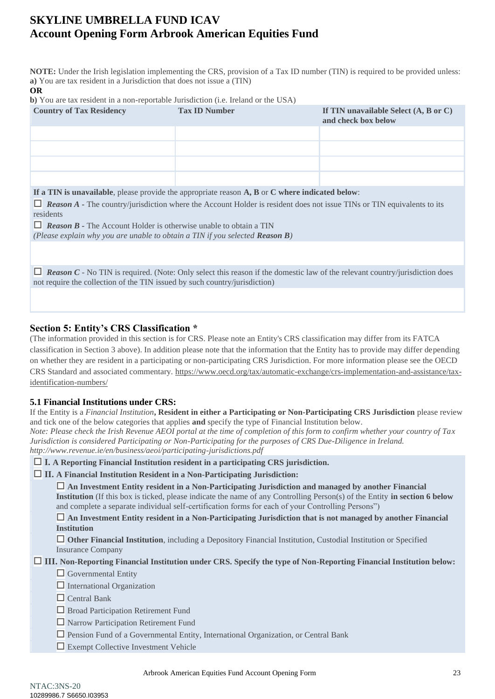**NOTE:** Under the Irish legislation implementing the CRS, provision of a Tax ID number (TIN) is required to be provided unless: **a)** You are tax resident in a Jurisdiction that does not issue a (TIN)

#### **OR**

**b)** You are tax resident in a non-reportable Jurisdiction (i.e. Ireland or the USA)

| <b>Country of Tax Residency</b>                                                                                                                                                                                       | <b>Tax ID Number</b>                                                                            | If TIN unavailable Select $(A, B \text{ or } C)$<br>and check box below |  |  |  |
|-----------------------------------------------------------------------------------------------------------------------------------------------------------------------------------------------------------------------|-------------------------------------------------------------------------------------------------|-------------------------------------------------------------------------|--|--|--|
|                                                                                                                                                                                                                       |                                                                                                 |                                                                         |  |  |  |
|                                                                                                                                                                                                                       |                                                                                                 |                                                                         |  |  |  |
|                                                                                                                                                                                                                       |                                                                                                 |                                                                         |  |  |  |
|                                                                                                                                                                                                                       |                                                                                                 |                                                                         |  |  |  |
|                                                                                                                                                                                                                       | If a TIN is unavailable, please provide the appropriate reason A, B or C where indicated below: |                                                                         |  |  |  |
| $\Box$ <b>Reason A</b> - The country/jurisdiction where the Account Holder is resident does not issue TINs or TIN equivalents to its<br>residents                                                                     |                                                                                                 |                                                                         |  |  |  |
| $\Box$ <b>Reason B</b> - The Account Holder is otherwise unable to obtain a TIN                                                                                                                                       |                                                                                                 |                                                                         |  |  |  |
| (Please explain why you are unable to obtain a TIN if you selected <b>Reason B</b> )                                                                                                                                  |                                                                                                 |                                                                         |  |  |  |
|                                                                                                                                                                                                                       |                                                                                                 |                                                                         |  |  |  |
| <b>Reason C</b> - No TIN is required. (Note: Only select this reason if the domestic law of the relevant country/jurisdiction does<br>ப<br>not require the collection of the TIN issued by such country/jurisdiction) |                                                                                                 |                                                                         |  |  |  |

### **Section 5: Entity's CRS Classification \***

(The information provided in this section is for CRS. Please note an Entity's CRS classification may differ from its FATCA classification in Section 3 above). In addition please note that the information that the Entity has to provide may differ depending on whether they are resident in a participating or non-participating CRS Jurisdiction. For more information please see the OECD CRS Standard and associated commentary. [https://www.oecd.org/tax/automatic-exchange/crs-implementation-and-assistance/tax](https://www.oecd.org/tax/automatic-exchange/crs-implementation-and-assistance/tax-identification-numbers/)[identification-numbers/](https://www.oecd.org/tax/automatic-exchange/crs-implementation-and-assistance/tax-identification-numbers/)

### **5.1 Financial Institutions under CRS:**

If the Entity is a *Financial Institution***, Resident in either a Participating or Non-Participating CRS Jurisdiction** please review and tick one of the below categories that applies **and** specify the type of Financial Institution below.

*Note: Please check the Irish Revenue AEOI portal at the time of completion of this form to confirm whether your country of Tax Jurisdiction is considered Participating or Non-Participating for the purposes of CRS Due-Diligence in Ireland. <http://www.revenue.ie/en/business/aeoi/participating-jurisdictions.pdf>*

**I. A Reporting Financial Institution resident in a participating CRS jurisdiction.**

### **II. A Financial Institution Resident in a Non-Participating Jurisdiction:**

 **An Investment Entity resident in a Non-Participating Jurisdiction and managed by another Financial Institution** (If this box is ticked, please indicate the name of any Controlling Person(s) of the Entity **in section 6 below**  and complete a separate individual self-certification forms for each of your Controlling Persons")

 **An Investment Entity resident in a Non-Participating Jurisdiction that is not managed by another Financial Institution**

 **Other Financial Institution**, including a Depository Financial Institution, Custodial Institution or Specified Insurance Company

### **III. Non-Reporting Financial Institution under CRS. Specify the type of Non-Reporting Financial Institution below:**

 $\Box$  Governmental Entity

 $\Box$  International Organization

- $\Box$  Central Bank
- **Broad Participation Retirement Fund**
- Narrow Participation Retirement Fund
- Pension Fund of a Governmental Entity, International Organization, or Central Bank
- Exempt Collective Investment Vehicle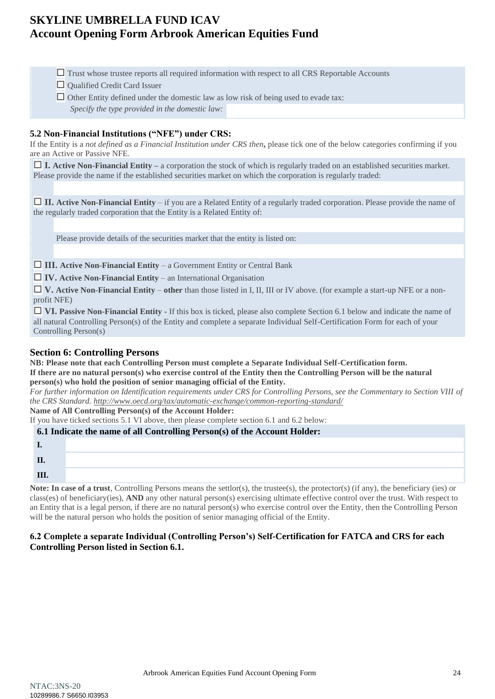- $\Box$  Trust whose trustee reports all required information with respect to all CRS Reportable Accounts
- Qualified Credit Card Issuer
- $\Box$  Other Entity defined under the domestic law as low risk of being used to evade tax: *Specify the type provided in the domestic law:*

### **5.2 Non-Financial Institutions ("NFE") under CRS:**

If the Entity is a *not defined as a Financial Institution under CRS then***,** please tick one of the below categories confirming if you are an Active or Passive NFE.

 $\Box$  **I. Active Non-Financial Entity** – a corporation the stock of which is regularly traded on an established securities market. Please provide the name if the established securities market on which the corporation is regularly traded:

 **II. Active Non-Financial Entity** – if you are a Related Entity of a regularly traded corporation. Please provide the name of the regularly traded corporation that the Entity is a Related Entity of:

Please provide details of the securities market that the entity is listed on:

**III. Active Non-Financial Entity** – a Government Entity or Central Bank

**IV. Active Non-Financial Entity** – an International Organisation

 **V. Active Non-Financial Entity** – **other** than those listed in I, II, III or IV above. (for example a start-up NFE or a nonprofit NFE)

**IVI. Passive Non-Financial Entity -** If this box is ticked, please also complete Section 6.1 below and indicate the name of all natural Controlling Person(s) of the Entity and complete a separate Individual Self-Certification Form for each of your Controlling Person(s)

### **Section 6: Controlling Persons**

**NB: Please note that each Controlling Person must complete a Separate Individual Self-Certification form. If there are no natural person(s) who exercise control of the Entity then the Controlling Person will be the natural person(s) who hold the position of senior managing official of the Entity.** 

*For further information on Identification requirements under CRS for Controlling Persons, see the Commentary to Section VIII of the CRS Standard[. http://www.oecd.org/tax/automatic-exchange/common-reporting-standard/](http://www.oecd.org/tax/automatic-exchange/common-reporting-standard/)*

**Name of All Controlling Person(s) of the Account Holder:** 

If you have ticked sections 5.1 VI above, then please complete section 6.1 and 6.2 below: **6.1 Indicate the name of all Controlling Person(s) of the Account Holder:**

| п<br>ш |  |
|--------|--|
| III    |  |

**Note: In case of a trust**, Controlling Persons means the settlor(s), the trustee(s), the protector(s) (if any), the beneficiary (ies) or class(es) of beneficiary(ies), **AND** any other natural person(s) exercising ultimate effective control over the trust. With respect to an Entity that is a legal person, if there are no natural person(s) who exercise control over the Entity, then the Controlling Person will be the natural person who holds the position of senior managing official of the Entity.

### **6.2 Complete a separate Individual (Controlling Person's) Self-Certification for FATCA and CRS for each Controlling Person listed in Section 6.1.**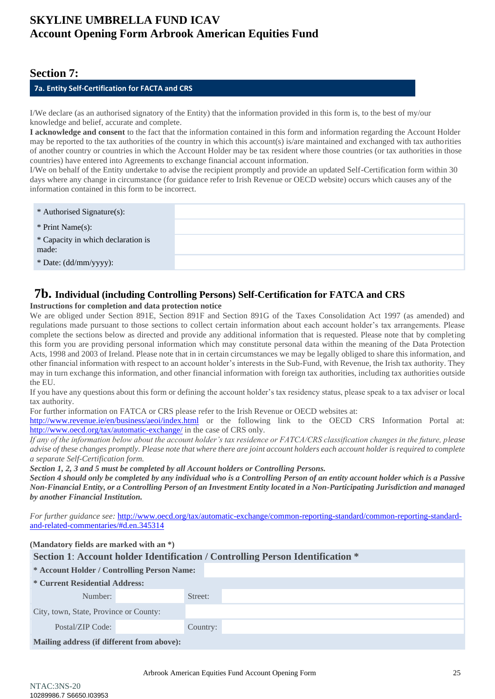### **Section 7:**

### **7a. Entity Self-Certification for FACTA and CRS**

I/We declare (as an authorised signatory of the Entity) that the information provided in this form is, to the best of my/our knowledge and belief, accurate and complete.

**I acknowledge and consent** to the fact that the information contained in this form and information regarding the Account Holder may be reported to the tax authorities of the country in which this account(s) is/are maintained and exchanged with tax authorities of another country or countries in which the Account Holder may be tax resident where those countries (or tax authorities in those countries) have entered into Agreements to exchange financial account information.

I/We on behalf of the Entity undertake to advise the recipient promptly and provide an updated Self-Certification form within 30 days where any change in circumstance (for guidance refer to Irish Revenue or OECD website) occurs which causes any of the information contained in this form to be incorrect.

| * Authorised Signature(s):                  |  |
|---------------------------------------------|--|
| * Print Name $(s)$ :                        |  |
| * Capacity in which declaration is<br>made: |  |
| * Date: (dd/mm/yyyy):                       |  |

### <span id="page-24-0"></span>**7b. Individual (including Controlling Persons) Self-Certification for FATCA and CRS**

#### **Instructions for completion and data protection notice**

We are obliged under Section 891E, Section 891F and Section 891G of the Taxes Consolidation Act 1997 (as amended) and regulations made pursuant to those sections to collect certain information about each account holder's tax arrangements. Please complete the sections below as directed and provide any additional information that is requested. Please note that by completing this form you are providing personal information which may constitute personal data within the meaning of the Data Protection Acts, 1998 and 2003 of Ireland. Please note that in in certain circumstances we may be legally obliged to share this information, and other financial information with respect to an account holder's interests in the Sub-Fund, with Revenue, the Irish tax authority. They may in turn exchange this information, and other financial information with foreign tax authorities, including tax authorities outside the EU.

If you have any questions about this form or defining the account holder's tax residency status, please speak to a tax adviser or local tax authority.

For further information on FATCA or CRS please refer to the Irish Revenue or OECD websites at:

<http://www.revenue.ie/en/business/aeoi/index.html> or the following link to the OECD CRS Information Portal at: <http://www.oecd.org/tax/automatic-exchange/> in the case of CRS only.

*If any of the information below about the account holder's tax residence or FATCA/CRS classification changes in the future, please advise of these changes promptly. Please note that where there are joint account holders each account holder is required to complete a separate Self-Certification form.* 

*Section 1, 2, 3 and 5 must be completed by all Account holders or Controlling Persons.*

*Section 4 should only be completed by any individual who is a Controlling Person of an entity account holder which is a Passive Non-Financial Entity, or a Controlling Person of an Investment Entity located in a Non-Participating Jurisdiction and managed by another Financial Institution.* 

*For further guidance see:* [http://www.oecd.org/tax/automatic-exchange/common-reporting-standard/common-reporting-standard](http://www.oecd.org/tax/automatic-exchange/common-reporting-standard/common-reporting-standard-and-related-commentaries/%23d.en.345314)[and-related-commentaries/#d.en.345314](http://www.oecd.org/tax/automatic-exchange/common-reporting-standard/common-reporting-standard-and-related-commentaries/%23d.en.345314)

| (Mandatory fields are marked with an *)                                        |  |          |  |  |
|--------------------------------------------------------------------------------|--|----------|--|--|
| Section 1: Account holder Identification / Controlling Person Identification * |  |          |  |  |
| * Account Holder / Controlling Person Name:                                    |  |          |  |  |
| * Current Residential Address:                                                 |  |          |  |  |
| Number:                                                                        |  | Street:  |  |  |
| City, town, State, Province or County:                                         |  |          |  |  |
| Postal/ZIP Code:                                                               |  | Country: |  |  |
| Mailing address (if different from above):                                     |  |          |  |  |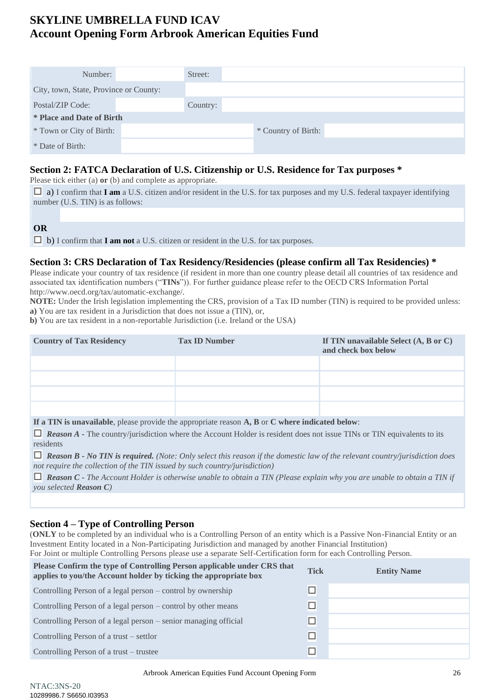| Number:                                | Street:  |                     |  |  |
|----------------------------------------|----------|---------------------|--|--|
| City, town, State, Province or County: |          |                     |  |  |
| Postal/ZIP Code:                       | Country: |                     |  |  |
| <b>* Place and Date of Birth</b>       |          |                     |  |  |
| * Town or City of Birth:               |          | * Country of Birth: |  |  |
| * Date of Birth:                       |          |                     |  |  |

### **Section 2: FATCA Declaration of U.S. Citizenship or U.S. Residence for Tax purposes \***

Please tick either (a) **or** (b) and complete as appropriate.

 $\Box$  a) I confirm that **I am** a U.S. citizen and/or resident in the U.S. for tax purposes and my U.S. federal taxpayer identifying number (U.S. TIN) is as follows:

**OR**

 $\Box$  **b**) I confirm that **I am not** a U.S. citizen or resident in the U.S. for tax purposes.

### **Section 3: CRS Declaration of Tax Residency/Residencies (please confirm all Tax Residencies) \***

Please indicate your country of tax residence (if resident in more than one country please detail all countries of tax residence and associated tax identification numbers ("**TINs**")). For further guidance please refer to the OECD CRS Information Portal [http://www.oecd.org/tax/automatic-exchange/.](http://www.oecd.org/tax/automatic-exchange/)

**NOTE:** Under the Irish legislation implementing the CRS, provision of a Tax ID number (TIN) is required to be provided unless: **a)** You are tax resident in a Jurisdiction that does not issue a (TIN), or,

**b)** You are tax resident in a non-reportable Jurisdiction (i.e. Ireland or the USA)

| <b>Country of Tax Residency</b> | <b>Tax ID Number</b> | If TIN unavailable Select $(A, B \text{ or } C)$<br>and check box below |
|---------------------------------|----------------------|-------------------------------------------------------------------------|
|                                 |                      |                                                                         |
|                                 |                      |                                                                         |
|                                 |                      |                                                                         |
|                                 |                      |                                                                         |

**If a TIN is unavailable**, please provide the appropriate reason **A, B** or **C where indicated below**:

*Reason A -* The country/jurisdiction where the Account Holder is resident does not issue TINs or TIN equivalents to its residents

 *Reason B - No TIN is required. (Note: Only select this reason if the domestic law of the relevant country/jurisdiction does not require the collection of the TIN issued by such country/jurisdiction)*

 *Reason C - The Account Holder is otherwise unable to obtain a TIN (Please explain why you are unable to obtain a TIN if you selected Reason C)*

### **Section 4 – Type of Controlling Person**

(**ONLY** to be completed by an individual who is a Controlling Person of an entity which is a Passive Non-Financial Entity or an Investment Entity located in a Non-Participating Jurisdiction and managed by another Financial Institution) For Joint or multiple Controlling Persons please use a separate Self-Certification form for each Controlling Person.

| Please Confirm the type of Controlling Person applicable under CRS that<br>applies to you/the Account holder by ticking the appropriate box | <b>Tick</b> | <b>Entity Name</b> |
|---------------------------------------------------------------------------------------------------------------------------------------------|-------------|--------------------|
| Controlling Person of a legal person – control by ownership                                                                                 | □           |                    |
| Controlling Person of a legal person – control by other means                                                                               | □           |                    |
| Controlling Person of a legal person – senior managing official                                                                             | $\Box$      |                    |
| Controlling Person of a trust – settlor                                                                                                     | $\Box$      |                    |
| Controlling Person of a trust – trustee                                                                                                     |             |                    |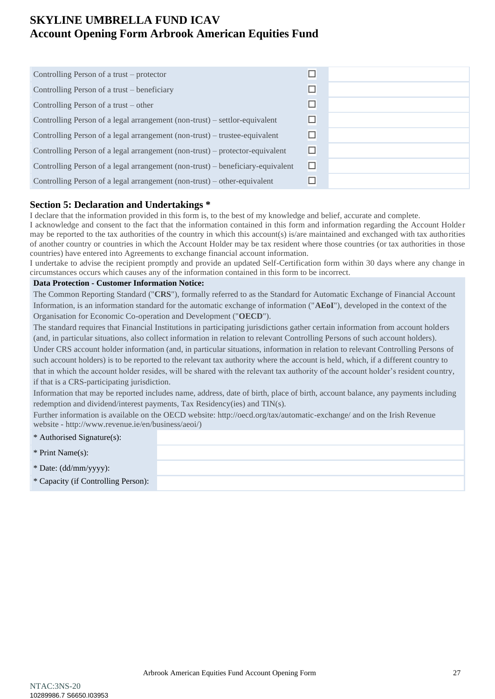| $\Box$ |  |
|--------|--|
| $\Box$ |  |
| $\Box$ |  |
| $\Box$ |  |
| $\Box$ |  |
| $\Box$ |  |
| $\Box$ |  |
| □      |  |
|        |  |

### **Section 5: Declaration and Undertakings \***

I declare that the information provided in this form is, to the best of my knowledge and belief, accurate and complete.

I acknowledge and consent to the fact that the information contained in this form and information regarding the Account Holder may be reported to the tax authorities of the country in which this account(s) is/are maintained and exchanged with tax authorities of another country or countries in which the Account Holder may be tax resident where those countries (or tax authorities in those countries) have entered into Agreements to exchange financial account information.

I undertake to advise the recipient promptly and provide an updated Self-Certification form within 30 days where any change in circumstances occurs which causes any of the information contained in this form to be incorrect.

#### **Data Protection - Customer Information Notice:**

The Common Reporting Standard ("**CRS**"), formally referred to as the Standard for Automatic Exchange of Financial Account Information, is an information standard for the automatic exchange of information ("**AEoI**"), developed in the context of the Organisation for Economic Co-operation and Development ("**OECD**").

The standard requires that Financial Institutions in participating jurisdictions gather certain information from account holders (and, in particular situations, also collect information in relation to relevant Controlling Persons of such account holders). Under CRS account holder information (and, in particular situations, information in relation to relevant Controlling Persons of such account holders) is to be reported to the relevant tax authority where the account is held, which, if a different country to that in which the account holder resides, will be shared with the relevant tax authority of the account holder's resident country, if that is a CRS-participating jurisdiction.

Information that may be reported includes name, address, date of birth, place of birth, account balance, any payments including redemption and dividend/interest payments, Tax Residency(ies) and TIN(s).

Further information is available on the OECD website: http://oecd.org/tax/automatic-exchange/ and on the Irish Revenue website - [http://www.revenue.ie/en/business/aeoi/\)](http://www.revenue.ie/en/business/aeoi/)

| * Authorised Signature(s):          |  |
|-------------------------------------|--|
| * Print Name(s):                    |  |
| $*$ Date: (dd/mm/yyyy):             |  |
| * Capacity (if Controlling Person): |  |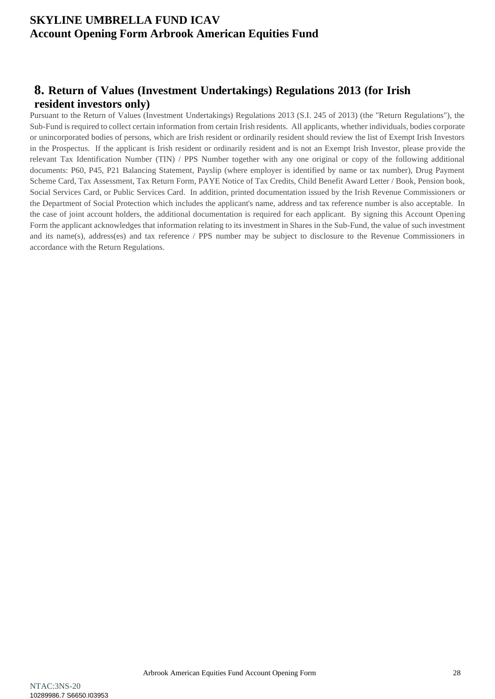# <span id="page-27-0"></span>**8. Return of Values (Investment Undertakings) Regulations 2013 (for Irish resident investors only)**

Pursuant to the Return of Values (Investment Undertakings) Regulations 2013 (S.I. 245 of 2013) (the "Return Regulations"), the Sub-Fund is required to collect certain information from certain Irish residents. All applicants, whether individuals, bodies corporate or unincorporated bodies of persons, which are Irish resident or ordinarily resident should review the list of Exempt Irish Investors in the Prospectus. If the applicant is Irish resident or ordinarily resident and is not an Exempt Irish Investor, please provide the relevant Tax Identification Number (TIN) / PPS Number together with any one original or copy of the following additional documents: P60, P45, P21 Balancing Statement, Payslip (where employer is identified by name or tax number), Drug Payment Scheme Card, Tax Assessment, Tax Return Form, PAYE Notice of Tax Credits, Child Benefit Award Letter / Book, Pension book, Social Services Card, or Public Services Card. In addition, printed documentation issued by the Irish Revenue Commissioners or the Department of Social Protection which includes the applicant's name, address and tax reference number is also acceptable. In the case of joint account holders, the additional documentation is required for each applicant. By signing this Account Opening Form the applicant acknowledges that information relating to its investment in Shares in the Sub-Fund, the value of such investment and its name(s), address(es) and tax reference / PPS number may be subject to disclosure to the Revenue Commissioners in accordance with the Return Regulations.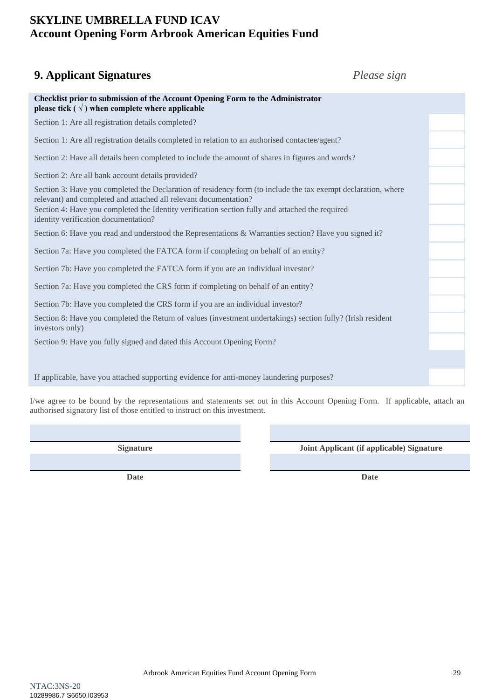### <span id="page-28-0"></span>**9. Applicant Signatures** *Please sign*

| Checklist prior to submission of the Account Opening Form to the Administrator<br>please tick ( $\sqrt{}$ ) when complete where applicable                                        |  |  |  |  |
|-----------------------------------------------------------------------------------------------------------------------------------------------------------------------------------|--|--|--|--|
| Section 1: Are all registration details completed?                                                                                                                                |  |  |  |  |
| Section 1: Are all registration details completed in relation to an authorised contactee/agent?                                                                                   |  |  |  |  |
| Section 2: Have all details been completed to include the amount of shares in figures and words?                                                                                  |  |  |  |  |
| Section 2: Are all bank account details provided?                                                                                                                                 |  |  |  |  |
| Section 3: Have you completed the Declaration of residency form (to include the tax exempt declaration, where<br>relevant) and completed and attached all relevant documentation? |  |  |  |  |
| Section 4: Have you completed the Identity verification section fully and attached the required<br>identity verification documentation?                                           |  |  |  |  |
| Section 6: Have you read and understood the Representations & Warranties section? Have you signed it?                                                                             |  |  |  |  |
| Section 7a: Have you completed the FATCA form if completing on behalf of an entity?                                                                                               |  |  |  |  |
| Section 7b: Have you completed the FATCA form if you are an individual investor?                                                                                                  |  |  |  |  |
| Section 7a: Have you completed the CRS form if completing on behalf of an entity?                                                                                                 |  |  |  |  |
| Section 7b: Have you completed the CRS form if you are an individual investor?                                                                                                    |  |  |  |  |
| Section 8: Have you completed the Return of values (investment undertakings) section fully? (Irish resident<br>investors only)                                                    |  |  |  |  |
| Section 9: Have you fully signed and dated this Account Opening Form?                                                                                                             |  |  |  |  |
|                                                                                                                                                                                   |  |  |  |  |
| If applicable, have you attached supporting evidence for anti-money laundering purposes?                                                                                          |  |  |  |  |

I/we agree to be bound by the representations and statements set out in this Account Opening Form. If applicable, attach an authorised signatory list of those entitled to instruct on this investment.

**Date Date**

**Signature Joint Applicant (if applicable) Signature**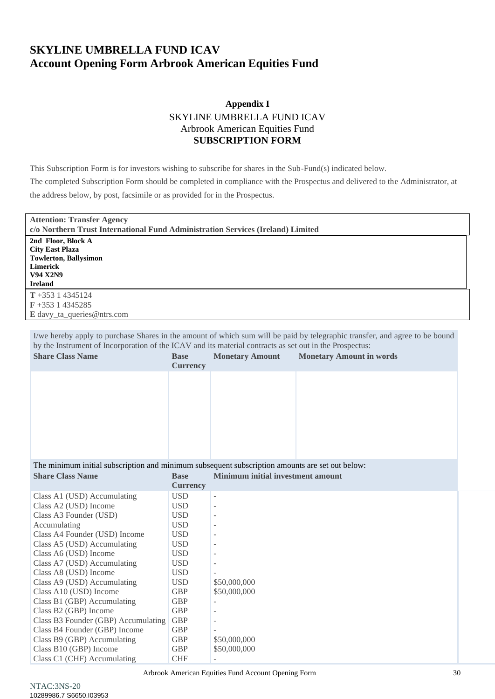### **Appendix I** SKYLINE UMBRELLA FUND ICAV Arbrook American Equities Fund **SUBSCRIPTION FORM**

<span id="page-29-0"></span>This Subscription Form is for investors wishing to subscribe for shares in the Sub-Fund(s) indicated below.

The completed Subscription Form should be completed in compliance with the Prospectus and delivered to the Administrator, at the address below, by post, facsimile or as provided for in the Prospectus.

| <b>Attention: Transfer Agency</b><br>c/o Northern Trust International Fund Administration Services (Ireland) Limited                 |  |
|--------------------------------------------------------------------------------------------------------------------------------------|--|
| 2nd Floor, Block A<br><b>City East Plaza</b><br><b>Towlerton, Ballysimon</b><br><b>Limerick</b><br><b>V94 X2N9</b><br><b>Ireland</b> |  |
| $T + 35314345124$<br>$\mathbf{F}$ +353 1 4345285<br>E davy_ta_queries@ntrs.com                                                       |  |

I/we hereby apply to purchase Shares in the amount of which sum will be paid by telegraphic transfer, and agree to be bound by the Instrument of Incorporation of the ICAV and its material contracts as set out in the Prospectus:

| <b>Share Class Name</b>                                                                                                                                                        | <b>Base</b><br><b>Currency</b> | <b>Monetary Amount</b> | <b>Monetary Amount in words</b> |  |
|--------------------------------------------------------------------------------------------------------------------------------------------------------------------------------|--------------------------------|------------------------|---------------------------------|--|
|                                                                                                                                                                                |                                |                        |                                 |  |
|                                                                                                                                                                                |                                |                        |                                 |  |
|                                                                                                                                                                                |                                |                        |                                 |  |
|                                                                                                                                                                                |                                |                        |                                 |  |
| The minimum initial subscription and minimum subsequent subscription amounts are set out below:<br>Minimum initial investment amount<br><b>Share Class Name</b><br><b>Base</b> |                                |                        |                                 |  |

|                                     |                 | mman mnuu m roomaa ama |
|-------------------------------------|-----------------|------------------------|
|                                     | <b>Currency</b> |                        |
| Class A1 (USD) Accumulating         | USD             |                        |
| Class A2 (USD) Income               | USD             |                        |
| Class A3 Founder (USD)              | USD             |                        |
| Accumulating                        | USD             |                        |
| Class A4 Founder (USD) Income       | USD             |                        |
| Class A5 (USD) Accumulating         | USD             |                        |
| Class A6 (USD) Income               | USD             |                        |
| Class A7 (USD) Accumulating         | USD             |                        |
| Class A8 (USD) Income               | USD             |                        |
| Class A9 (USD) Accumulating         | USD             | \$50,000,000           |
| Class A10 (USD) Income              | <b>GBP</b>      | \$50,000,000           |
| Class B1 (GBP) Accumulating         | <b>GBP</b>      |                        |
| Class B2 (GBP) Income               | <b>GBP</b>      |                        |
| Class B3 Founder (GBP) Accumulating | <b>GBP</b>      |                        |
| Class B4 Founder (GBP) Income       | <b>GBP</b>      |                        |
| Class B9 (GBP) Accumulating         | GBP             | \$50,000,000           |
| Class B10 (GBP) Income              | <b>GBP</b>      | \$50,000,000           |
| Class C1 (CHF) Accumulating         | <b>CHF</b>      |                        |

Arbrook American Equities Fund Account Opening Form 30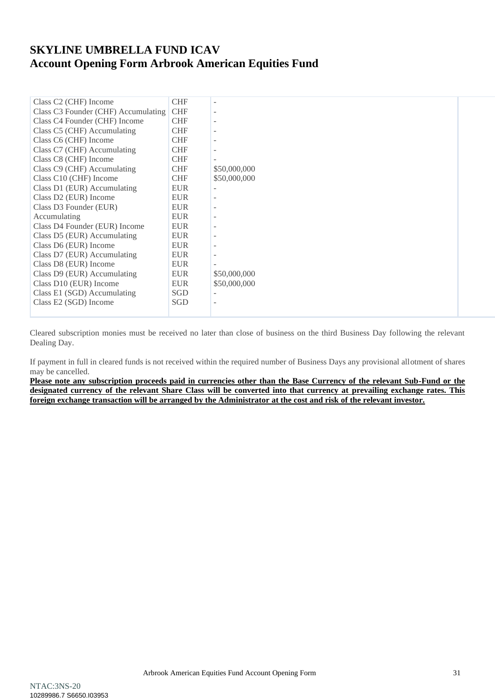| Class C2 (CHF) Income               | <b>CHF</b> |              |  |
|-------------------------------------|------------|--------------|--|
| Class C3 Founder (CHF) Accumulating | <b>CHF</b> | ۰            |  |
| Class C4 Founder (CHF) Income       | <b>CHF</b> |              |  |
| Class C5 (CHF) Accumulating         | <b>CHF</b> |              |  |
| Class C6 (CHF) Income               | <b>CHF</b> |              |  |
| Class C7 (CHF) Accumulating         | <b>CHF</b> | ۰            |  |
| Class C8 (CHF) Income               | <b>CHF</b> |              |  |
| Class C9 (CHF) Accumulating         | <b>CHF</b> | \$50,000,000 |  |
| Class C10 (CHF) Income              | <b>CHF</b> | \$50,000,000 |  |
| Class D1 (EUR) Accumulating         | <b>EUR</b> |              |  |
| Class D2 (EUR) Income               | <b>EUR</b> |              |  |
| Class D3 Founder (EUR)              | <b>EUR</b> |              |  |
| Accumulating                        | <b>EUR</b> |              |  |
| Class D4 Founder (EUR) Income       | <b>EUR</b> | ۰            |  |
| Class D5 (EUR) Accumulating         | <b>EUR</b> |              |  |
| Class D6 (EUR) Income               | <b>EUR</b> |              |  |
| Class D7 (EUR) Accumulating         | <b>EUR</b> |              |  |
| Class D8 (EUR) Income               | <b>EUR</b> |              |  |
| Class D9 (EUR) Accumulating         | <b>EUR</b> | \$50,000,000 |  |
| Class D10 (EUR) Income              | <b>EUR</b> | \$50,000,000 |  |
| Class E1 (SGD) Accumulating         | SGD        |              |  |
| Class E2 (SGD) Income               | <b>SGD</b> | ۰            |  |
|                                     |            |              |  |

Cleared subscription monies must be received no later than close of business on the third Business Day following the relevant Dealing Day.

If payment in full in cleared funds is not received within the required number of Business Days any provisional allotment of shares may be cancelled.

Please note any subscription proceeds paid in currencies other than the Base Currency of the relevant Sub-Fund or the **designated currency of the relevant Share Class will be converted into that currency at prevailing exchange rates. This foreign exchange transaction will be arranged by the Administrator at the cost and risk of the relevant investor.**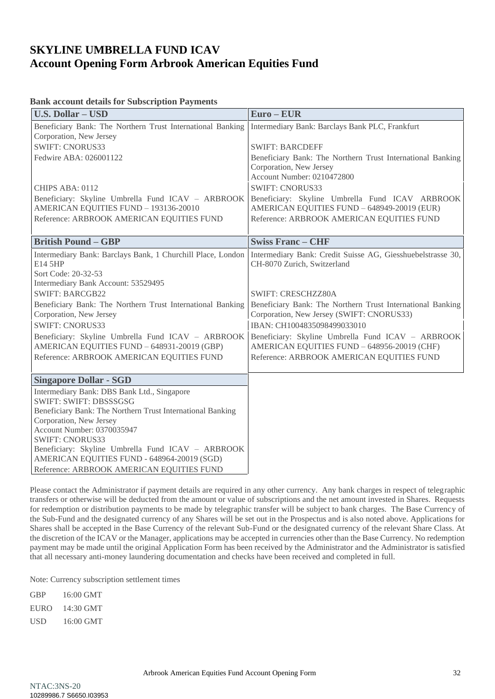### **Bank account details for Subscription Payments**

| <b>U.S. Dollar - USD</b>                                    | $Euro - EUR$                                                |
|-------------------------------------------------------------|-------------------------------------------------------------|
| Beneficiary Bank: The Northern Trust International Banking  | Intermediary Bank: Barclays Bank PLC, Frankfurt             |
| Corporation, New Jersey                                     |                                                             |
| <b>SWIFT: CNORUS33</b>                                      | <b>SWIFT: BARCDEFF</b>                                      |
| Fedwire ABA: 026001122                                      | Beneficiary Bank: The Northern Trust International Banking  |
|                                                             | Corporation, New Jersey                                     |
|                                                             | Account Number: 0210472800                                  |
| CHIPS ABA: 0112                                             | <b>SWIFT: CNORUS33</b>                                      |
| Beneficiary: Skyline Umbrella Fund ICAV - ARBROOK           | Beneficiary: Skyline Umbrella Fund ICAV ARBROOK             |
| AMERICAN EQUITIES FUND - 193136-20010                       | AMERICAN EQUITIES FUND - 648949-20019 (EUR)                 |
| Reference: ARBROOK AMERICAN EQUITIES FUND                   | Reference: ARBROOK AMERICAN EQUITIES FUND                   |
|                                                             |                                                             |
| <b>British Pound - GBP</b>                                  | <b>Swiss Franc - CHF</b>                                    |
| Intermediary Bank: Barclays Bank, 1 Churchill Place, London | Intermediary Bank: Credit Suisse AG, Giesshuebelstrasse 30, |
| E14 5HP                                                     | CH-8070 Zurich, Switzerland                                 |
| Sort Code: 20-32-53                                         |                                                             |
| Intermediary Bank Account: 53529495                         |                                                             |
| <b>SWIFT: BARCGB22</b>                                      | <b>SWIFT: CRESCHZZ80A</b>                                   |
| Beneficiary Bank: The Northern Trust International Banking  | Beneficiary Bank: The Northern Trust International Banking  |
| Corporation, New Jersey                                     | Corporation, New Jersey (SWIFT: CNORUS33)                   |
| <b>SWIFT: CNORUS33</b>                                      | IBAN: CH1004835098499033010                                 |
| Beneficiary: Skyline Umbrella Fund ICAV - ARBROOK           | Beneficiary: Skyline Umbrella Fund ICAV - ARBROOK           |
| AMERICAN EQUITIES FUND - 648931-20019 (GBP)                 | AMERICAN EQUITIES FUND - 648956-20019 (CHF)                 |
| Reference: ARBROOK AMERICAN EQUITIES FUND                   | Reference: ARBROOK AMERICAN EQUITIES FUND                   |
|                                                             |                                                             |
| <b>Singapore Dollar - SGD</b>                               |                                                             |
| Intermediary Bank: DBS Bank Ltd., Singapore                 |                                                             |
| SWIFT: SWIFT: DBSSSGSG                                      |                                                             |
| Beneficiary Bank: The Northern Trust International Banking  |                                                             |
| Corporation, New Jersey<br>Account Number: 0370035947       |                                                             |
| <b>SWIFT: CNORUS33</b>                                      |                                                             |
| Beneficiary: Skyline Umbrella Fund ICAV - ARBROOK           |                                                             |
| AMERICAN EQUITIES FUND - 648964-20019 (SGD)                 |                                                             |
| Reference: ARBROOK AMERICAN EQUITIES FUND                   |                                                             |

Please contact the Administrator if payment details are required in any other currency. Any bank charges in respect of telegraphic transfers or otherwise will be deducted from the amount or value of subscriptions and the net amount invested in Shares. Requests for redemption or distribution payments to be made by telegraphic transfer will be subject to bank charges. The Base Currency of the Sub-Fund and the designated currency of any Shares will be set out in the Prospectus and is also noted above. Applications for Shares shall be accepted in the Base Currency of the relevant Sub-Fund or the designated currency of the relevant Share Class. At the discretion of the ICAV or the Manager, applications may be accepted in currencies other than the Base Currency. No redemption payment may be made until the original Application Form has been received by the Administrator and the Administrator is satisfied that all necessary anti-money laundering documentation and checks have been received and completed in full.

Note: Currency subscription settlement times

| GBP  | 16:00 GMT |
|------|-----------|
| EURO | 14:30 GMT |
| USD  | 16:00 GMT |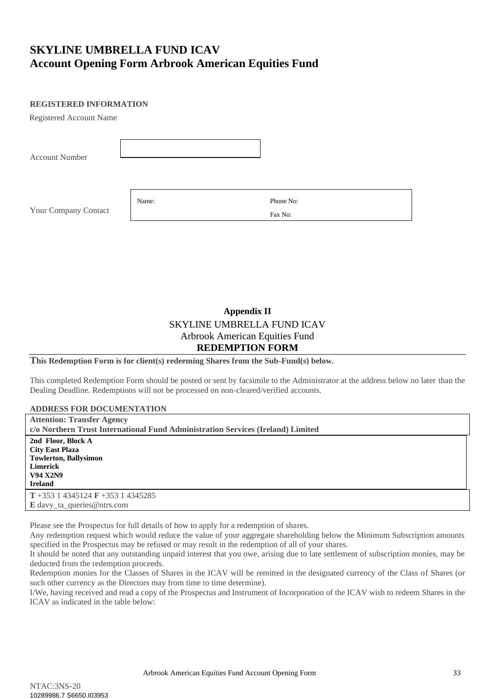### **REGISTERED INFORMATION**

Registered Account Name

| <b>Account Number</b> |       |                      |  |
|-----------------------|-------|----------------------|--|
| Your Company Contact  | Name: | Phone No:<br>Fax No: |  |

### **Appendix II** SKYLINE UMBRELLA FUND ICAV Arbrook American Equities Fund **REDEMPTION FORM**

<span id="page-32-0"></span>**This Redemption Form is for client(s) redeeming Shares from the Sub-Fund(s) below.**

This completed Redemption Form should be posted or sent by facsimile to the Administrator at the address below no later than the Dealing Deadline. Redemptions will not be processed on non-cleared/verified accounts.

| <b>ADDRESS FOR DOCUMENTATION</b>                                                |
|---------------------------------------------------------------------------------|
| <b>Attention: Transfer Agency</b>                                               |
| c/o Northern Trust International Fund Administration Services (Ireland) Limited |
| 2nd Floor, Block A                                                              |
| <b>City East Plaza</b>                                                          |
| <b>Towlerton, Ballysimon</b>                                                    |
| <b>Limerick</b>                                                                 |
| <b>V94 X2N9</b>                                                                 |
| <b>Ireland</b>                                                                  |
| $T + 353$ 1 4345124 F + 353 1 4345285                                           |
| E davy_ta_queries@ntrs.com                                                      |

Please see the Prospectus for full details of how to apply for a redemption of shares.

Any redemption request which would reduce the value of your aggregate shareholding below the Minimum Subscription amounts specified in the Prospectus may be refused or may result in the redemption of all of your shares.

It should be noted that any outstanding unpaid interest that you owe, arising due to late settlement of subscription monies, may be deducted from the redemption proceeds.

Redemption monies for the Classes of Shares in the ICAV will be remitted in the designated currency of the Class of Shares (or such other currency as the Directors may from time to time determine).

I/We, having received and read a copy of the Prospectus and Instrument of Incorporation of the ICAV wish to redeem Shares in the ICAV as indicated in the table below: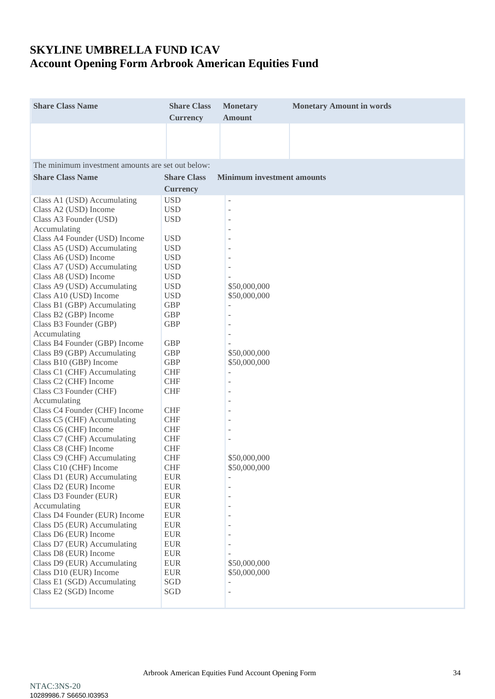| <b>Share Class Name</b>                              | <b>Share Class</b><br><b>Currency</b> | <b>Monetary</b><br><b>Amount</b>  | <b>Monetary Amount in words</b> |
|------------------------------------------------------|---------------------------------------|-----------------------------------|---------------------------------|
|                                                      |                                       |                                   |                                 |
|                                                      |                                       |                                   |                                 |
| The minimum investment amounts are set out below:    |                                       |                                   |                                 |
| <b>Share Class Name</b>                              | <b>Share Class</b>                    | <b>Minimum investment amounts</b> |                                 |
|                                                      | <b>Currency</b>                       |                                   |                                 |
| Class A1 (USD) Accumulating                          | <b>USD</b>                            | -                                 |                                 |
| Class A2 (USD) Income                                | <b>USD</b>                            |                                   |                                 |
| Class A3 Founder (USD)                               | <b>USD</b>                            | $\overline{a}$                    |                                 |
| Accumulating                                         |                                       |                                   |                                 |
| Class A4 Founder (USD) Income                        | <b>USD</b>                            |                                   |                                 |
| Class A5 (USD) Accumulating<br>Class A6 (USD) Income | <b>USD</b><br><b>USD</b>              |                                   |                                 |
| Class A7 (USD) Accumulating                          | <b>USD</b>                            |                                   |                                 |
| Class A8 (USD) Income                                | <b>USD</b>                            |                                   |                                 |
| Class A9 (USD) Accumulating                          | <b>USD</b>                            | \$50,000,000                      |                                 |
| Class A10 (USD) Income                               | <b>USD</b>                            | \$50,000,000                      |                                 |
| Class B1 (GBP) Accumulating                          | <b>GBP</b>                            | ÷                                 |                                 |
| Class B2 (GBP) Income                                | <b>GBP</b>                            |                                   |                                 |
| Class B3 Founder (GBP)                               | <b>GBP</b>                            |                                   |                                 |
| Accumulating                                         |                                       |                                   |                                 |
| Class B4 Founder (GBP) Income                        | <b>GBP</b>                            |                                   |                                 |
| Class B9 (GBP) Accumulating                          | <b>GBP</b>                            | \$50,000,000                      |                                 |
| Class B10 (GBP) Income                               | <b>GBP</b>                            | \$50,000,000                      |                                 |
| Class C1 (CHF) Accumulating                          | <b>CHF</b>                            | -                                 |                                 |
| Class C2 (CHF) Income                                | <b>CHF</b>                            |                                   |                                 |
| Class C3 Founder (CHF)                               | <b>CHF</b>                            |                                   |                                 |
| Accumulating<br>Class C4 Founder (CHF) Income        | <b>CHF</b>                            |                                   |                                 |
| Class C5 (CHF) Accumulating                          | <b>CHF</b>                            |                                   |                                 |
| Class C6 (CHF) Income                                | <b>CHF</b>                            |                                   |                                 |
| Class C7 (CHF) Accumulating                          | <b>CHF</b>                            |                                   |                                 |
| Class C8 (CHF) Income                                | <b>CHF</b>                            |                                   |                                 |
| Class C9 (CHF) Accumulating                          | <b>CHF</b>                            | \$50,000,000                      |                                 |
| Class C10 (CHF) Income                               | <b>CHF</b>                            | \$50,000,000                      |                                 |
| Class D1 (EUR) Accumulating                          | <b>EUR</b>                            |                                   |                                 |
| Class D2 (EUR) Income                                | <b>EUR</b>                            |                                   |                                 |
| Class D3 Founder (EUR)                               | <b>EUR</b>                            |                                   |                                 |
| Accumulating                                         | <b>EUR</b>                            |                                   |                                 |
| Class D4 Founder (EUR) Income                        | <b>EUR</b>                            |                                   |                                 |
| Class D5 (EUR) Accumulating                          | <b>EUR</b>                            |                                   |                                 |
| Class D6 (EUR) Income<br>Class D7 (EUR) Accumulating | <b>EUR</b><br><b>EUR</b>              |                                   |                                 |
| Class D8 (EUR) Income                                | <b>EUR</b>                            |                                   |                                 |
| Class D9 (EUR) Accumulating                          | <b>EUR</b>                            | \$50,000,000                      |                                 |
| Class D10 (EUR) Income                               | <b>EUR</b>                            | \$50,000,000                      |                                 |
| Class E1 (SGD) Accumulating                          | SGD                                   |                                   |                                 |
| Class E2 (SGD) Income                                | SGD                                   | ÷                                 |                                 |
|                                                      |                                       |                                   |                                 |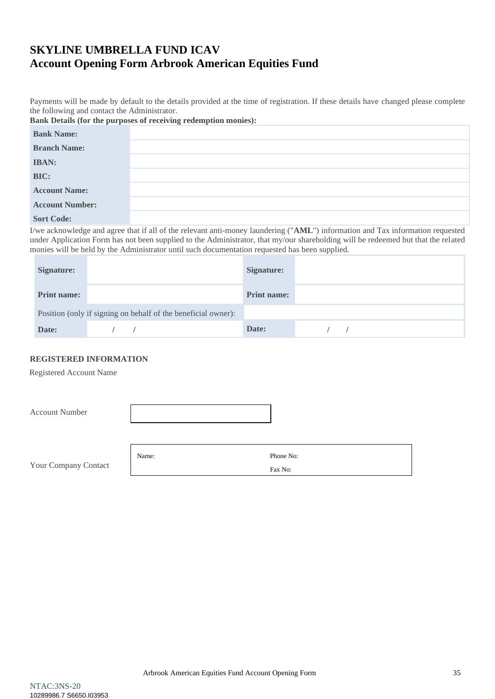Payments will be made by default to the details provided at the time of registration. If these details have changed please complete the following and contact the Administrator.

| Bank Details (for the purposes of receiving redemption monies): |  |  |  |  |  |
|-----------------------------------------------------------------|--|--|--|--|--|
|-----------------------------------------------------------------|--|--|--|--|--|

| <b>Bank Name:</b>      |  |
|------------------------|--|
| <b>Branch Name:</b>    |  |
| <b>IBAN:</b>           |  |
| BIC:                   |  |
| <b>Account Name:</b>   |  |
| <b>Account Number:</b> |  |
| <b>Sort Code:</b>      |  |

I/we acknowledge and agree that if all of the relevant anti-money laundering ("**AML**") information and Tax information requested under Application Form has not been supplied to the Administrator, that my/our shareholding will be redeemed but that the related monies will be held by the Administrator until such documentation requested has been supplied.

| Signature:         |                                                               | Signature:  |  |
|--------------------|---------------------------------------------------------------|-------------|--|
| <b>Print name:</b> |                                                               | Print name: |  |
|                    | Position (only if signing on behalf of the beneficial owner): |             |  |
| Date:              |                                                               | Date:       |  |

### **REGISTERED INFORMATION**

Registered Account Name

| <b>Account Number</b> |  |
|-----------------------|--|
|                       |  |

| Your Company Contact |  |
|----------------------|--|

|       | Fax No:   |
|-------|-----------|
| Name: | Phone No: |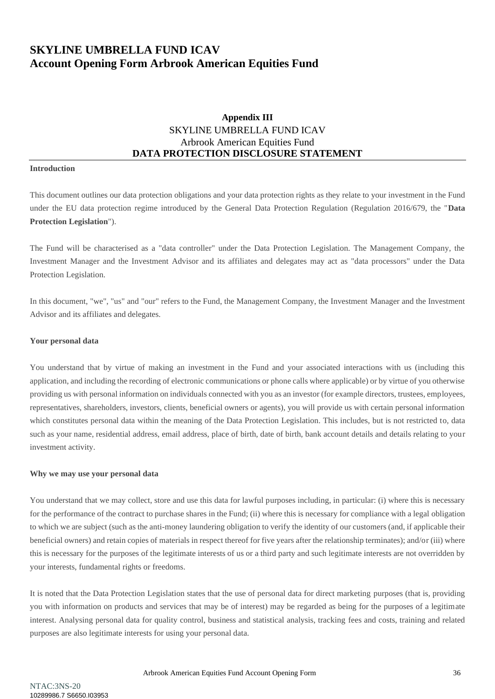### **Appendix III** SKYLINE UMBRELLA FUND ICAV Arbrook American Equities Fund **DATA PROTECTION DISCLOSURE STATEMENT**

#### <span id="page-35-0"></span>**Introduction**

This document outlines our data protection obligations and your data protection rights as they relate to your investment in the Fund under the EU data protection regime introduced by the General Data Protection Regulation (Regulation 2016/679, the "**Data Protection Legislation**").

The Fund will be characterised as a "data controller" under the Data Protection Legislation. The Management Company, the Investment Manager and the Investment Advisor and its affiliates and delegates may act as "data processors" under the Data Protection Legislation.

In this document, "we", "us" and "our" refers to the Fund, the Management Company, the Investment Manager and the Investment Advisor and its affiliates and delegates.

#### **Your personal data**

You understand that by virtue of making an investment in the Fund and your associated interactions with us (including this application, and including the recording of electronic communications or phone calls where applicable) or by virtue of you otherwise providing us with personal information on individuals connected with you as an investor (for example directors, trustees, employees, representatives, shareholders, investors, clients, beneficial owners or agents), you will provide us with certain personal information which constitutes personal data within the meaning of the Data Protection Legislation. This includes, but is not restricted to, data such as your name, residential address, email address, place of birth, date of birth, bank account details and details relating to your investment activity.

#### **Why we may use your personal data**

You understand that we may collect, store and use this data for lawful purposes including, in particular: (i) where this is necessary for the performance of the contract to purchase shares in the Fund; (ii) where this is necessary for compliance with a legal obligation to which we are subject (such as the anti-money laundering obligation to verify the identity of our customers (and, if applicable their beneficial owners) and retain copies of materials in respect thereof for five years after the relationship terminates); and/or (iii) where this is necessary for the purposes of the legitimate interests of us or a third party and such legitimate interests are not overridden by your interests, fundamental rights or freedoms.

It is noted that the Data Protection Legislation states that the use of personal data for direct marketing purposes (that is, providing you with information on products and services that may be of interest) may be regarded as being for the purposes of a legitimate interest. Analysing personal data for quality control, business and statistical analysis, tracking fees and costs, training and related purposes are also legitimate interests for using your personal data.

Arbrook American Equities Fund Account Opening Form 36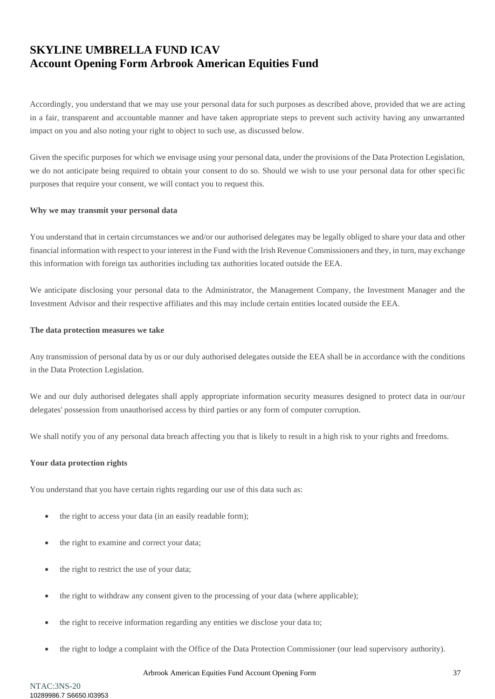Accordingly, you understand that we may use your personal data for such purposes as described above, provided that we are acting in a fair, transparent and accountable manner and have taken appropriate steps to prevent such activity having any unwarranted impact on you and also noting your right to object to such use, as discussed below.

Given the specific purposes for which we envisage using your personal data, under the provisions of the Data Protection Legislation, we do not anticipate being required to obtain your consent to do so. Should we wish to use your personal data for other specific purposes that require your consent, we will contact you to request this.

#### **Why we may transmit your personal data**

You understand that in certain circumstances we and/or our authorised delegates may be legally obliged to share your data and other financial information with respect to your interest in the Fund with the Irish Revenue Commissioners and they, in turn, may exchange this information with foreign tax authorities including tax authorities located outside the EEA.

We anticipate disclosing your personal data to the Administrator, the Management Company, the Investment Manager and the Investment Advisor and their respective affiliates and this may include certain entities located outside the EEA.

#### **The data protection measures we take**

Any transmission of personal data by us or our duly authorised delegates outside the EEA shall be in accordance with the conditions in the Data Protection Legislation.

We and our duly authorised delegates shall apply appropriate information security measures designed to protect data in our/our delegates' possession from unauthorised access by third parties or any form of computer corruption.

We shall notify you of any personal data breach affecting you that is likely to result in a high risk to your rights and freedoms.

### **Your data protection rights**

You understand that you have certain rights regarding our use of this data such as:

- the right to access your data (in an easily readable form);
- the right to examine and correct your data;
- the right to restrict the use of your data;
- the right to withdraw any consent given to the processing of your data (where applicable);
- the right to receive information regarding any entities we disclose your data to;
- the right to lodge a complaint with the Office of the Data Protection Commissioner (our lead supervisory authority).